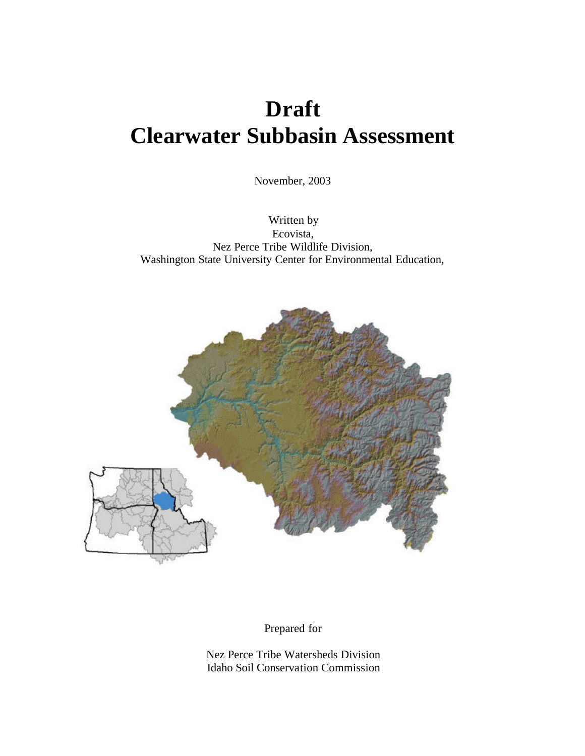# **Draft Clearwater Subbasin Assessment**

November, 2003

Written by Ecovista, Nez Perce Tribe Wildlife Division, Washington State University Center for Environmental Education,



Prepared for

Nez Perce Tribe Watersheds Division Idaho Soil Conservation Commission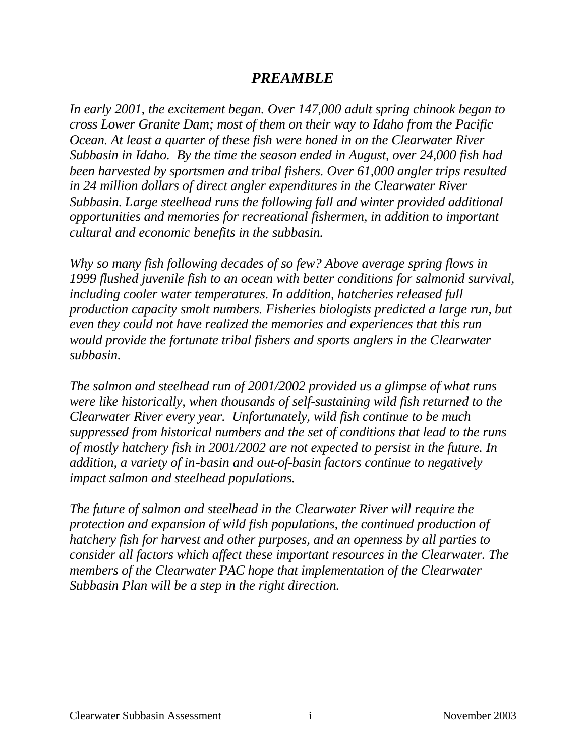## *PREAMBLE*

*In early 2001, the excitement began. Over 147,000 adult spring chinook began to cross Lower Granite Dam; most of them on their way to Idaho from the Pacific Ocean. At least a quarter of these fish were honed in on the Clearwater River Subbasin in Idaho. By the time the season ended in August, over 24,000 fish had been harvested by sportsmen and tribal fishers. Over 61,000 angler trips resulted in 24 million dollars of direct angler expenditures in the Clearwater River Subbasin. Large steelhead runs the following fall and winter provided additional opportunities and memories for recreational fishermen, in addition to important cultural and economic benefits in the subbasin.* 

*Why so many fish following decades of so few? Above average spring flows in 1999 flushed juvenile fish to an ocean with better conditions for salmonid survival, including cooler water temperatures. In addition, hatcheries released full production capacity smolt numbers. Fisheries biologists predicted a large run, but even they could not have realized the memories and experiences that this run would provide the fortunate tribal fishers and sports anglers in the Clearwater subbasin.*

*The salmon and steelhead run of 2001/2002 provided us a glimpse of what runs were like historically, when thousands of self-sustaining wild fish returned to the Clearwater River every year. Unfortunately, wild fish continue to be much suppressed from historical numbers and the set of conditions that lead to the runs of mostly hatchery fish in 2001/2002 are not expected to persist in the future. In addition, a variety of in-basin and out-of-basin factors continue to negatively impact salmon and steelhead populations.*

*The future of salmon and steelhead in the Clearwater River will require the protection and expansion of wild fish populations, the continued production of hatchery fish for harvest and other purposes, and an openness by all parties to consider all factors which affect these important resources in the Clearwater. The members of the Clearwater PAC hope that implementation of the Clearwater Subbasin Plan will be a step in the right direction.*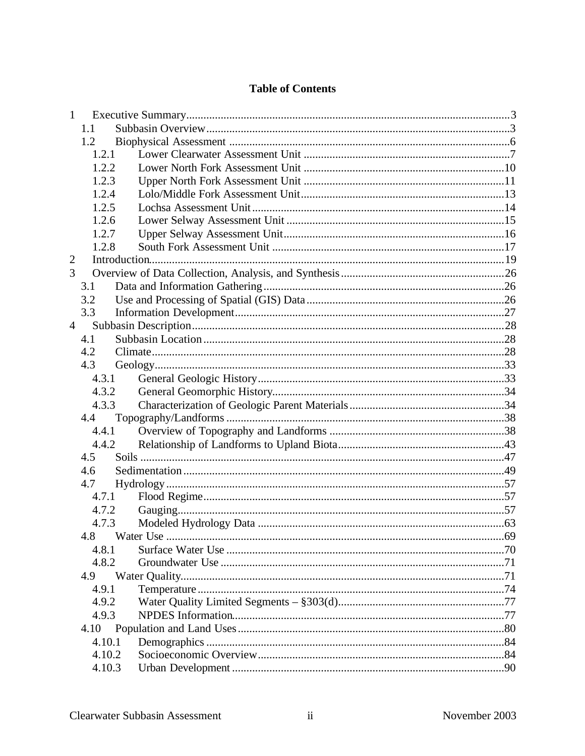### **Table of Contents**

| 1              |        |  |  |
|----------------|--------|--|--|
|                | 1.1    |  |  |
|                | 1.2    |  |  |
|                | 1.2.1  |  |  |
|                | 1.2.2  |  |  |
|                | 1.2.3  |  |  |
|                | 1.2.4  |  |  |
|                | 1.2.5  |  |  |
|                | 1.2.6  |  |  |
|                | 1.2.7  |  |  |
|                | 1.2.8  |  |  |
| 2              |        |  |  |
| 3              |        |  |  |
|                | 3.1    |  |  |
|                | 3.2    |  |  |
|                | 3.3    |  |  |
| $\overline{4}$ |        |  |  |
|                | 4.1    |  |  |
|                | 4.2    |  |  |
|                | 4.3    |  |  |
|                | 4.3.1  |  |  |
|                | 4.3.2  |  |  |
|                | 4.3.3  |  |  |
|                | 4.4    |  |  |
|                | 4.4.1  |  |  |
|                | 4.4.2  |  |  |
|                | 4.5    |  |  |
|                | 4.6    |  |  |
|                | 4.7    |  |  |
|                | 4.7.1  |  |  |
|                | 4.7.2  |  |  |
|                | 4.7.3  |  |  |
|                |        |  |  |
|                | 4.8.1  |  |  |
|                | 4.8.2  |  |  |
|                | 4.9    |  |  |
|                | 4.9.1  |  |  |
|                | 4.9.2  |  |  |
|                | 4.9.3  |  |  |
|                | 4.10   |  |  |
|                | 4.10.1 |  |  |
|                | 4.10.2 |  |  |
|                | 4.10.3 |  |  |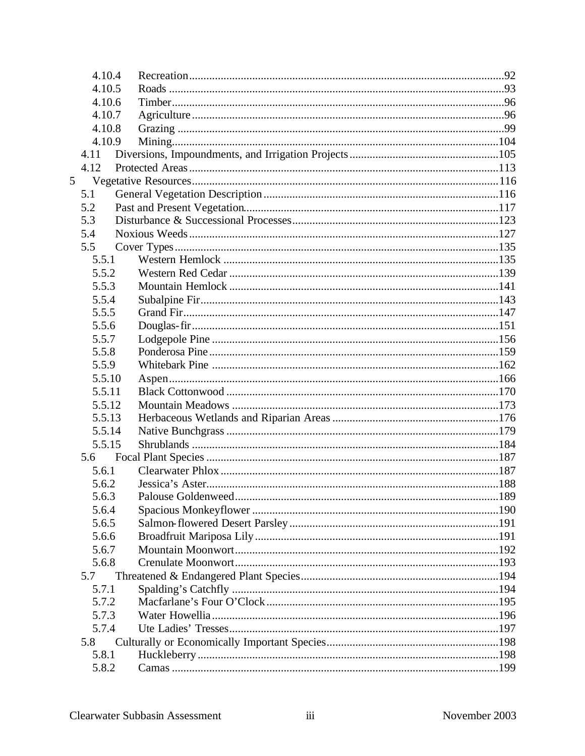| 4.10.4         |  |
|----------------|--|
| 4.10.5         |  |
| 4.10.6         |  |
| 4.10.7         |  |
| 4.10.8         |  |
| 4.10.9         |  |
| 4.11           |  |
| 4.12           |  |
| 5 <sup>5</sup> |  |
| 5.1            |  |
| 5.2            |  |
| 5.3            |  |
| 5.4            |  |
| 5.5            |  |
| 5.5.1          |  |
| 5.5.2          |  |
| 5.5.3          |  |
| 5.5.4          |  |
| 5.5.5          |  |
| 5.5.6          |  |
| 5.5.7          |  |
| 5.5.8          |  |
| 5.5.9          |  |
| 5.5.10         |  |
| 5.5.11         |  |
| 5.5.12         |  |
| 5.5.13         |  |
| 5.5.14         |  |
| 5.5.15         |  |
| 5.6            |  |
| 5.6.1          |  |
| 5.6.2          |  |
| 5.6.3          |  |
| 5.6.4          |  |
| 5.6.5          |  |
| 5.6.6          |  |
| 5.6.7          |  |
| 5.6.8          |  |
| 5.7            |  |
| 5.7.1          |  |
| 5.7.2          |  |
| 5.7.3          |  |
| 5.7.4          |  |
| 5.8            |  |
| 5.8.1          |  |
| 5.8.2          |  |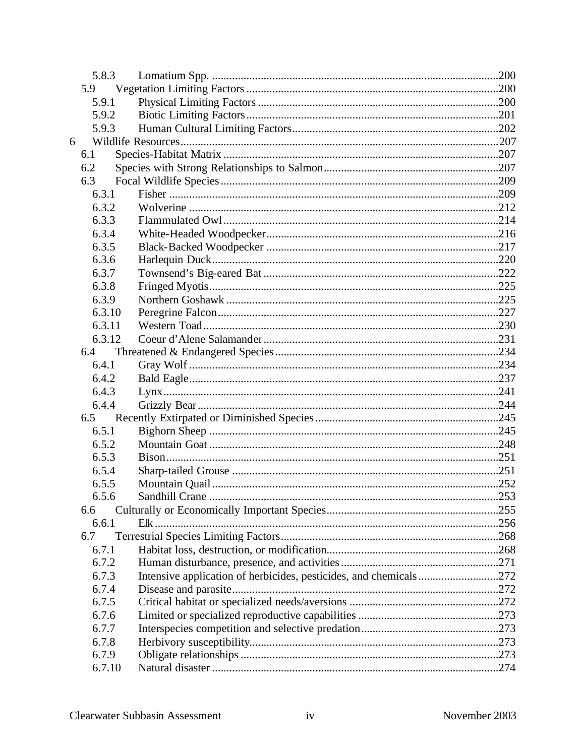| 5.8.3  |                                                                   |  |
|--------|-------------------------------------------------------------------|--|
| 5.9    |                                                                   |  |
| 5.9.1  |                                                                   |  |
| 5.9.2  |                                                                   |  |
| 5.9.3  |                                                                   |  |
| 6      |                                                                   |  |
| 6.1    |                                                                   |  |
| 6.2    |                                                                   |  |
| 6.3    |                                                                   |  |
| 6.3.1  |                                                                   |  |
| 6.3.2  |                                                                   |  |
| 6.3.3  |                                                                   |  |
| 6.3.4  |                                                                   |  |
| 6.3.5  |                                                                   |  |
| 6.3.6  |                                                                   |  |
| 6.3.7  |                                                                   |  |
| 6.3.8  |                                                                   |  |
| 6.3.9  |                                                                   |  |
| 6.3.10 |                                                                   |  |
| 6.3.11 |                                                                   |  |
| 6.3.12 |                                                                   |  |
| 6.4    |                                                                   |  |
| 6.4.1  |                                                                   |  |
| 6.4.2  |                                                                   |  |
| 6.4.3  |                                                                   |  |
| 6.4.4  |                                                                   |  |
| 6.5    |                                                                   |  |
| 6.5.1  |                                                                   |  |
| 6.5.2  |                                                                   |  |
| 6.5.3  |                                                                   |  |
| 6.5.4  |                                                                   |  |
| 6.5.5  |                                                                   |  |
| 6.5.6  |                                                                   |  |
| 6.6    |                                                                   |  |
| 6.6.1  |                                                                   |  |
| 6.7    |                                                                   |  |
| 6.7.1  |                                                                   |  |
| 6.7.2  |                                                                   |  |
| 6.7.3  | Intensive application of herbicides, pesticides, and chemicals272 |  |
| 6.7.4  |                                                                   |  |
| 6.7.5  |                                                                   |  |
| 6.7.6  |                                                                   |  |
| 6.7.7  |                                                                   |  |
| 6.7.8  |                                                                   |  |
| 6.7.9  |                                                                   |  |
| 6.7.10 |                                                                   |  |
|        |                                                                   |  |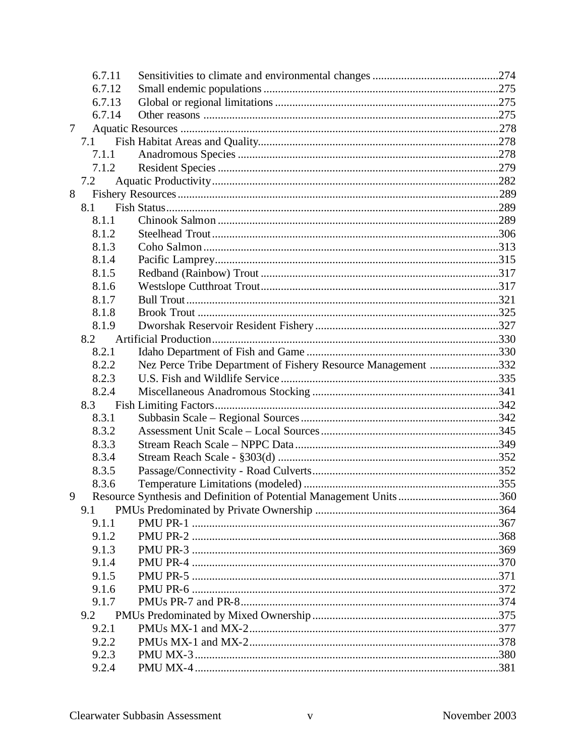| 6.7.11 |                                                                    |  |
|--------|--------------------------------------------------------------------|--|
| 6.7.12 |                                                                    |  |
| 6.7.13 |                                                                    |  |
| 6.7.14 |                                                                    |  |
| 7      |                                                                    |  |
| 7.1    |                                                                    |  |
| 7.1.1  |                                                                    |  |
| 7.1.2  |                                                                    |  |
| 7.2    |                                                                    |  |
| 8      |                                                                    |  |
| 8.1    |                                                                    |  |
| 8.1.1  |                                                                    |  |
| 8.1.2  |                                                                    |  |
| 8.1.3  |                                                                    |  |
| 8.1.4  |                                                                    |  |
| 8.1.5  |                                                                    |  |
| 8.1.6  |                                                                    |  |
| 8.1.7  |                                                                    |  |
| 8.1.8  |                                                                    |  |
| 8.1.9  |                                                                    |  |
| 8.2    |                                                                    |  |
| 8.2.1  |                                                                    |  |
| 8.2.2  | Nez Perce Tribe Department of Fishery Resource Management 332      |  |
| 8.2.3  |                                                                    |  |
| 8.2.4  |                                                                    |  |
| 8.3    |                                                                    |  |
| 8.3.1  |                                                                    |  |
| 8.3.2  |                                                                    |  |
| 8.3.3  |                                                                    |  |
| 8.3.4  |                                                                    |  |
| 8.3.5  |                                                                    |  |
| 8.3.6  |                                                                    |  |
| 9      | Resource Synthesis and Definition of Potential Management Units360 |  |
| 9.1    |                                                                    |  |
| 9.1.1  |                                                                    |  |
| 9.1.2  |                                                                    |  |
| 9.1.3  |                                                                    |  |
| 9.1.4  |                                                                    |  |
| 9.1.5  |                                                                    |  |
| 9.1.6  |                                                                    |  |
| 9.1.7  |                                                                    |  |
| 9.2    |                                                                    |  |
| 9.2.1  |                                                                    |  |
| 9.2.2  |                                                                    |  |
| 9.2.3  |                                                                    |  |
| 9.2.4  |                                                                    |  |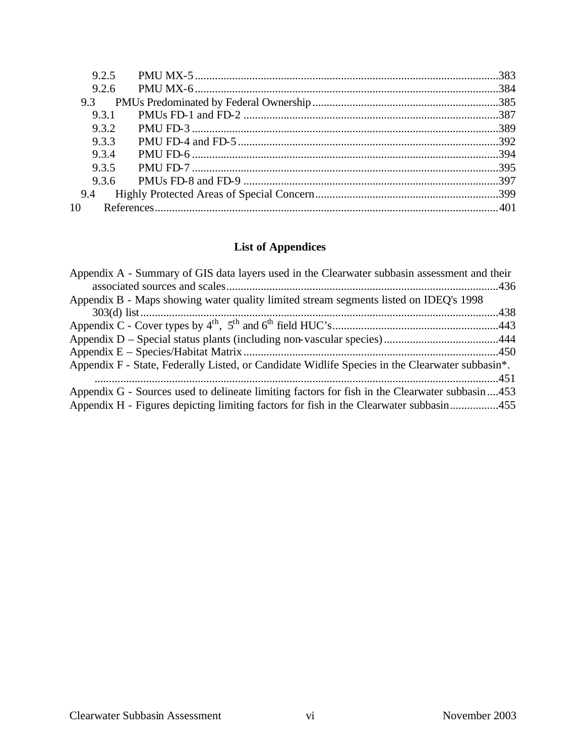| 9.2.5 |  |
|-------|--|
| 9.2.6 |  |
| 9.3   |  |
| 9.3.1 |  |
| 9.3.2 |  |
| 933   |  |
| 934   |  |
| 9.3.5 |  |
| 9.3.6 |  |
| 9.4   |  |
| 10    |  |
|       |  |

## **List of Appendices**

| Appendix A - Summary of GIS data layers used in the Clearwater subbasin assessment and their                 |  |
|--------------------------------------------------------------------------------------------------------------|--|
|                                                                                                              |  |
| Appendix B - Maps showing water quality limited stream segments listed on IDEQ's 1998                        |  |
|                                                                                                              |  |
|                                                                                                              |  |
|                                                                                                              |  |
|                                                                                                              |  |
| Appendix F - State, Federally Listed, or Candidate Widlife Species in the Clearwater subbasin <sup>*</sup> . |  |
|                                                                                                              |  |
| Appendix G - Sources used to delineate limiting factors for fish in the Clearwater subbasin 453              |  |
| Appendix H - Figures depicting limiting factors for fish in the Clearwater subbasin455                       |  |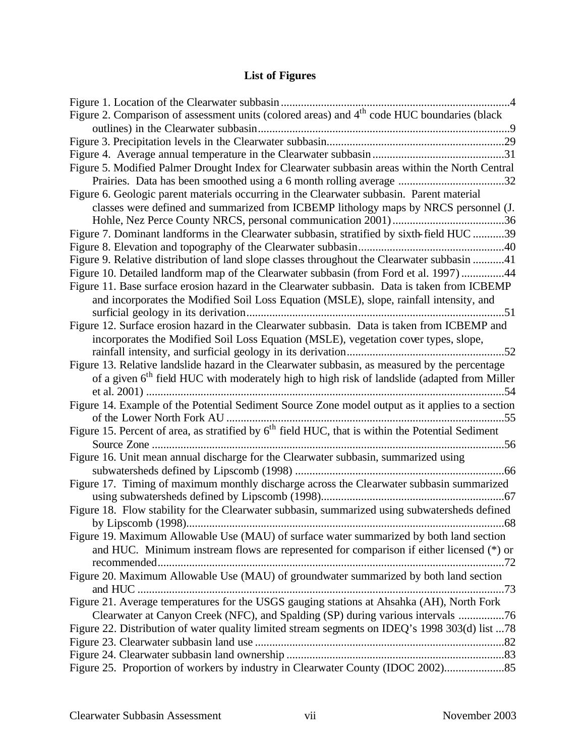# **List of Figures**

| Figure 2. Comparison of assessment units (colored areas) and 4 <sup>th</sup> code HUC boundaries (black  |
|----------------------------------------------------------------------------------------------------------|
|                                                                                                          |
|                                                                                                          |
|                                                                                                          |
| Figure 5. Modified Palmer Drought Index for Clearwater subbasin areas within the North Central           |
| Prairies. Data has been smoothed using a 6 month rolling average 32                                      |
| Figure 6. Geologic parent materials occurring in the Clearwater subbasin. Parent material                |
| classes were defined and summarized from ICBEMP lithology maps by NRCS personnel (J.                     |
|                                                                                                          |
| Figure 7. Dominant landforms in the Clearwater subbasin, stratified by sixth-field HUC 39                |
|                                                                                                          |
| Figure 9. Relative distribution of land slope classes throughout the Clearwater subbasin 41              |
| Figure 10. Detailed landform map of the Clearwater subbasin (from Ford et al. 1997)44                    |
| Figure 11. Base surface erosion hazard in the Clearwater subbasin. Data is taken from ICBEMP             |
| and incorporates the Modified Soil Loss Equation (MSLE), slope, rainfall intensity, and                  |
|                                                                                                          |
| Figure 12. Surface erosion hazard in the Clearwater subbasin. Data is taken from ICBEMP and              |
| incorporates the Modified Soil Loss Equation (MSLE), vegetation cover types, slope,                      |
|                                                                                                          |
| Figure 13. Relative landslide hazard in the Clearwater subbasin, as measured by the percentage           |
| of a given 6 <sup>th</sup> field HUC with moderately high to high risk of landslide (adapted from Miller |
|                                                                                                          |
| Figure 14. Example of the Potential Sediment Source Zone model output as it applies to a section         |
|                                                                                                          |
| Figure 15. Percent of area, as stratified by $6th$ field HUC, that is within the Potential Sediment      |
|                                                                                                          |
| Figure 16. Unit mean annual discharge for the Clearwater subbasin, summarized using                      |
|                                                                                                          |
| Figure 17. Timing of maximum monthly discharge across the Clearwater subbasin summarized                 |
|                                                                                                          |
| Figure 18. Flow stability for the Clearwater subbasin, summarized using subwatersheds defined            |
| 68                                                                                                       |
| Figure 19. Maximum Allowable Use (MAU) of surface water summarized by both land section                  |
| and HUC. Minimum instream flows are represented for comparison if either licensed (*) or                 |
|                                                                                                          |
| Figure 20. Maximum Allowable Use (MAU) of groundwater summarized by both land section                    |
|                                                                                                          |
| Figure 21. Average temperatures for the USGS gauging stations at Ahsahka (AH), North Fork                |
| Clearwater at Canyon Creek (NFC), and Spalding (SP) during various intervals 76                          |
| Figure 22. Distribution of water quality limited stream segments on IDEQ's 1998 303(d) list 78           |
|                                                                                                          |
|                                                                                                          |
| Figure 25. Proportion of workers by industry in Clearwater County (IDOC 2002)                            |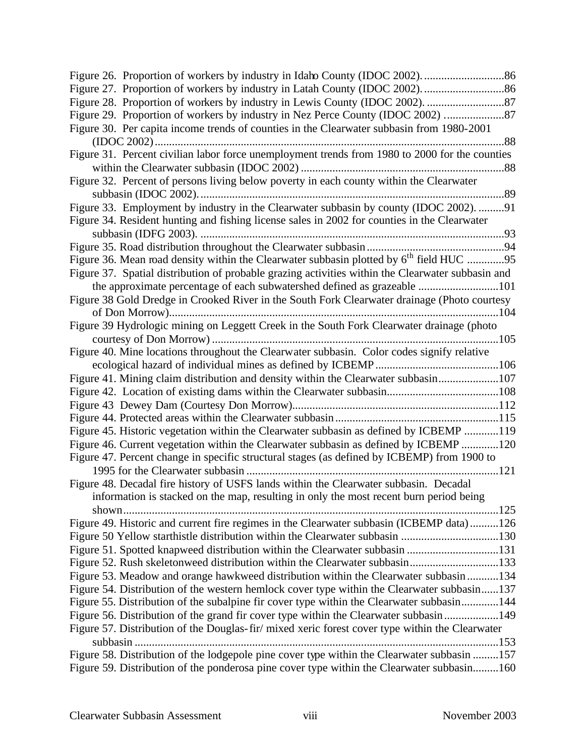| Figure 30. Per capita income trends of counties in the Clearwater subbasin from 1980-2001           |
|-----------------------------------------------------------------------------------------------------|
| .88                                                                                                 |
| Figure 31. Percent civilian labor force unemployment trends from 1980 to 2000 for the counties      |
|                                                                                                     |
| Figure 32. Percent of persons living below poverty in each county within the Clearwater             |
|                                                                                                     |
| Figure 33. Employment by industry in the Clearwater subbasin by county (IDOC 2002). 91              |
| Figure 34. Resident hunting and fishing license sales in 2002 for counties in the Clearwater        |
|                                                                                                     |
|                                                                                                     |
| Figure 36. Mean road density within the Clearwater subbasin plotted by 6 <sup>th</sup> field HUC 95 |
| Figure 37. Spatial distribution of probable grazing activities within the Clearwater subbasin and   |
| the approximate percentage of each subwatershed defined as grazeable 101                            |
| Figure 38 Gold Dredge in Crooked River in the South Fork Clearwater drainage (Photo courtesy        |
|                                                                                                     |
| Figure 39 Hydrologic mining on Leggett Creek in the South Fork Clearwater drainage (photo           |
|                                                                                                     |
| Figure 40. Mine locations throughout the Clearwater subbasin. Color codes signify relative          |
|                                                                                                     |
| Figure 41. Mining claim distribution and density within the Clearwater subbasin107                  |
|                                                                                                     |
|                                                                                                     |
|                                                                                                     |
| Figure 45. Historic vegetation within the Clearwater subbasin as defined by ICBEMP 119              |
| Figure 46. Current vegetation within the Clearwater subbasin as defined by ICBEMP 120               |
| Figure 47. Percent change in specific structural stages (as defined by ICBEMP) from 1900 to         |
|                                                                                                     |
| Figure 48. Decadal fire history of USFS lands within the Clearwater subbasin. Decadal               |
| information is stacked on the map, resulting in only the most recent burn period being              |
| shown                                                                                               |
| Figure 49. Historic and current fire regimes in the Clearwater subbasin (ICBEMP data)126            |
|                                                                                                     |
| Figure 51. Spotted knapweed distribution within the Clearwater subbasin 131                         |
| Figure 52. Rush skeletonweed distribution within the Clearwater subbasin133                         |
| Figure 53. Meadow and orange hawkweed distribution within the Clearwater subbasin 134               |
| Figure 54. Distribution of the western hemlock cover type within the Clearwater subbasin137         |
| Figure 55. Distribution of the subalpine fir cover type within the Clearwater subbasin144           |
| Figure 56. Distribution of the grand fir cover type within the Clearwater subbasin 149              |
| Figure 57. Distribution of the Douglas-fir/ mixed xeric forest cover type within the Clearwater     |
|                                                                                                     |
| Figure 58. Distribution of the lodgepole pine cover type within the Clearwater subbasin 157         |
| Figure 59. Distribution of the ponderosa pine cover type within the Clearwater subbasin160          |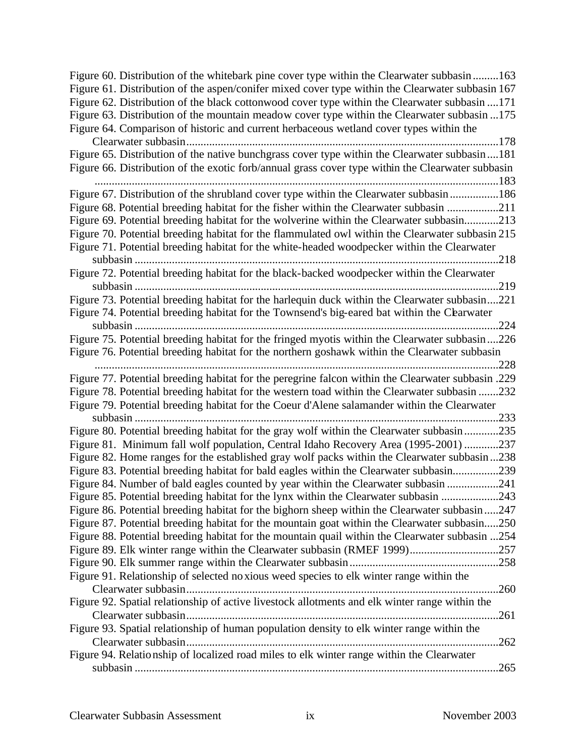| Figure 60. Distribution of the whitebark pine cover type within the Clearwater subbasin 163        |      |
|----------------------------------------------------------------------------------------------------|------|
| Figure 61. Distribution of the aspen/conifer mixed cover type within the Clearwater subbasin 167   |      |
| Figure 62. Distribution of the black cottonwood cover type within the Clearwater subbasin 171      |      |
| Figure 63. Distribution of the mountain meadow cover type within the Clearwater subbasin 175       |      |
| Figure 64. Comparison of historic and current herbaceous wetland cover types within the            |      |
|                                                                                                    | 178  |
| Figure 65. Distribution of the native bunchgrass cover type within the Clearwater subbasin181      |      |
| Figure 66. Distribution of the exotic forb/annual grass cover type within the Clearwater subbasin  |      |
|                                                                                                    |      |
| Figure 67. Distribution of the shrubland cover type within the Clearwater subbasin186              |      |
| Figure 68. Potential breeding habitat for the fisher within the Clearwater subbasin 211            |      |
| Figure 69. Potential breeding habitat for the wolverine within the Clearwater subbasin213          |      |
| Figure 70. Potential breeding habitat for the flammulated owl within the Clearwater subbasin 215   |      |
| Figure 71. Potential breeding habitat for the white-headed woodpecker within the Clearwater        |      |
| 218                                                                                                |      |
| Figure 72. Potential breeding habitat for the black-backed woodpecker within the Clearwater        |      |
|                                                                                                    |      |
| Figure 73. Potential breeding habitat for the harlequin duck within the Clearwater subbasin221     |      |
| Figure 74. Potential breeding habitat for the Townsend's big-eared bat within the Cearwater        |      |
|                                                                                                    | 224  |
| Figure 75. Potential breeding habitat for the fringed myotis within the Clearwater subbasin 226    |      |
| Figure 76. Potential breeding habitat for the northern goshawk within the Clearwater subbasin      |      |
|                                                                                                    | .228 |
| Figure 77. Potential breeding habitat for the peregrine falcon within the Clearwater subbasin .229 |      |
| Figure 78. Potential breeding habitat for the western toad within the Clearwater subbasin 232      |      |
| Figure 79. Potential breeding habitat for the Coeur d'Alene salamander within the Clearwater       |      |
| 233<br>subbasin                                                                                    |      |
| Figure 80. Potential breeding habitat for the gray wolf within the Clearwater subbasin235          |      |
| Figure 81. Minimum fall wolf population, Central Idaho Recovery Area (1995-2001) 237               |      |
| Figure 82. Home ranges for the established gray wolf packs within the Clearwater subbasin238       |      |
| Figure 83. Potential breeding habitat for bald eagles within the Clearwater subbasin239            |      |
| Figure 84. Number of bald eagles counted by year within the Clearwater subbasin 241                |      |
| Figure 85. Potential breeding habitat for the lynx within the Clearwater subbasin 243              |      |
| Figure 86. Potential breeding habitat for the bighorn sheep within the Clearwater subbasin 247     |      |
| Figure 87. Potential breeding habitat for the mountain goat within the Clearwater subbasin250      |      |
| Figure 88. Potential breeding habitat for the mountain quail within the Clearwater subbasin 254    |      |
| Figure 89. Elk winter range within the Clearwater subbasin (RMEF 1999)257                          |      |
|                                                                                                    |      |
|                                                                                                    |      |
| Figure 91. Relationship of selected no xious weed species to elk winter range within the           |      |
|                                                                                                    |      |
| Figure 92. Spatial relationship of active livestock allotments and elk winter range within the     |      |
|                                                                                                    | .261 |
| Figure 93. Spatial relationship of human population density to elk winter range within the         |      |
|                                                                                                    | .262 |
| Figure 94. Relationship of localized road miles to elk winter range within the Clearwater          |      |
|                                                                                                    |      |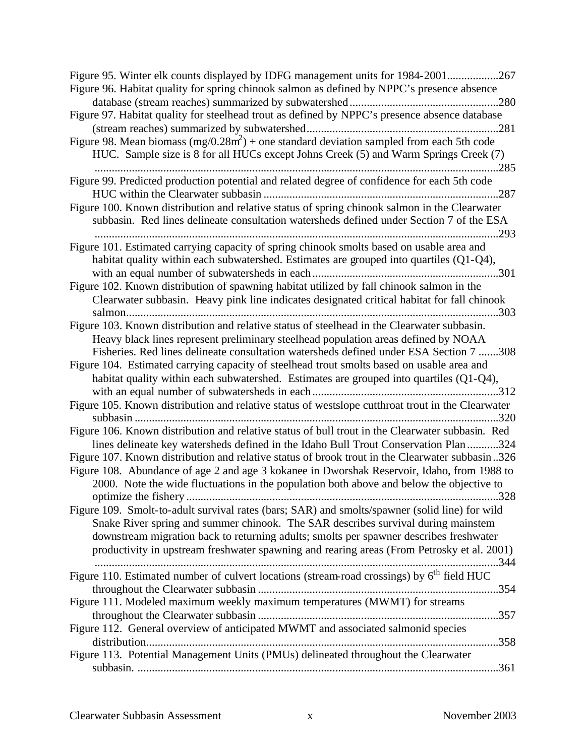| Figure 95. Winter elk counts displayed by IDFG management units for 1984-2001267<br>Figure 96. Habitat quality for spring chinook salmon as defined by NPPC's presence absence<br>Figure 97. Habitat quality for steelhead trout as defined by NPPC's presence absence database<br>Figure 98. Mean biomass $(mg/0.28m^2)$ + one standard deviation sampled from each 5th code<br>HUC. Sample size is 8 for all HUCs except Johns Creek (5) and Warm Springs Creek (7)<br>285 |
|------------------------------------------------------------------------------------------------------------------------------------------------------------------------------------------------------------------------------------------------------------------------------------------------------------------------------------------------------------------------------------------------------------------------------------------------------------------------------|
| Figure 99. Predicted production potential and related degree of confidence for each 5th code                                                                                                                                                                                                                                                                                                                                                                                 |
| Figure 100. Known distribution and relative status of spring chinook salmon in the Clearwater<br>subbasin. Red lines delineate consultation watersheds defined under Section 7 of the ESA<br>.293<br>                                                                                                                                                                                                                                                                        |
| Figure 101. Estimated carrying capacity of spring chinook smolts based on usable area and<br>habitat quality within each subwatershed. Estimates are grouped into quartiles (Q1-Q4),                                                                                                                                                                                                                                                                                         |
| Figure 102. Known distribution of spawning habitat utilized by fall chinook salmon in the<br>Clearwater subbasin. Heavy pink line indicates designated critical habitat for fall chinook                                                                                                                                                                                                                                                                                     |
| Figure 103. Known distribution and relative status of steelhead in the Clearwater subbasin.<br>Heavy black lines represent preliminary steelhead population areas defined by NOAA<br>Fisheries. Red lines delineate consultation watersheds defined under ESA Section 7 308                                                                                                                                                                                                  |
| Figure 104. Estimated carrying capacity of steelhead trout smolts based on usable area and<br>habitat quality within each subwatershed. Estimates are grouped into quartiles (Q1-Q4),                                                                                                                                                                                                                                                                                        |
| Figure 105. Known distribution and relative status of westslope cutthroat trout in the Clearwater<br>320                                                                                                                                                                                                                                                                                                                                                                     |
| Figure 106. Known distribution and relative status of bull trout in the Clearwater subbasin. Red<br>lines delineate key watersheds defined in the Idaho Bull Trout Conservation Plan 324                                                                                                                                                                                                                                                                                     |
| Figure 107. Known distribution and relative status of brook trout in the Clearwater subbasin326<br>Figure 108. Abundance of age 2 and age 3 kokanee in Dworshak Reservoir, Idaho, from 1988 to<br>2000. Note the wide fluctuations in the population both above and below the objective to                                                                                                                                                                                   |
| Figure 109. Smolt-to-adult survival rates (bars; SAR) and smolts/spawner (solid line) for wild<br>Snake River spring and summer chinook. The SAR describes survival during mainstem<br>downstream migration back to returning adults; smolts per spawner describes freshwater<br>productivity in upstream freshwater spawning and rearing areas (From Petrosky et al. 2001)                                                                                                  |
| Figure 110. Estimated number of culvert locations (stream-road crossings) by 6 <sup>th</sup> field HUC                                                                                                                                                                                                                                                                                                                                                                       |
| Figure 111. Modeled maximum weekly maximum temperatures (MWMT) for streams                                                                                                                                                                                                                                                                                                                                                                                                   |
| Figure 112. General overview of anticipated MWMT and associated salmonid species                                                                                                                                                                                                                                                                                                                                                                                             |
| Figure 113. Potential Management Units (PMUs) delineated throughout the Clearwater                                                                                                                                                                                                                                                                                                                                                                                           |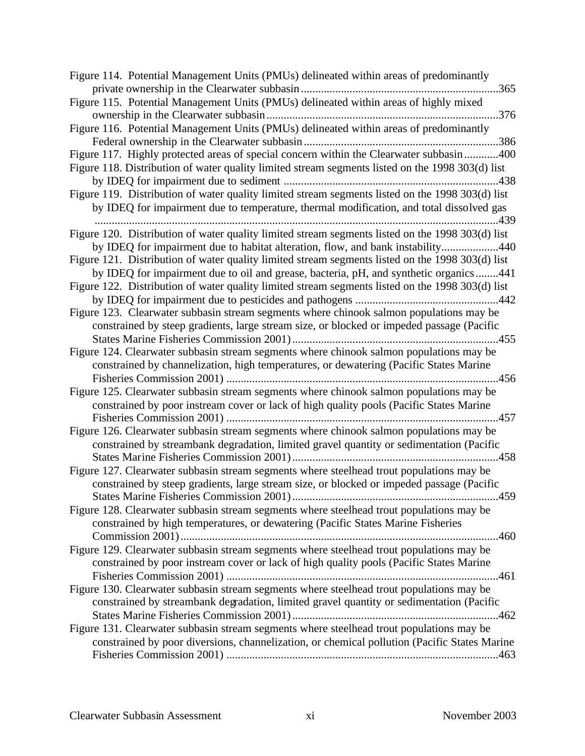| Figure 115. Potential Management Units (PMUs) delineated within areas of highly mixed<br>Figure 116. Potential Management Units (PMUs) delineated within areas of predominantly<br>Figure 117. Highly protected areas of special concern within the Clearwater subbasin 400 |
|-----------------------------------------------------------------------------------------------------------------------------------------------------------------------------------------------------------------------------------------------------------------------------|
|                                                                                                                                                                                                                                                                             |
|                                                                                                                                                                                                                                                                             |
|                                                                                                                                                                                                                                                                             |
| Figure 118. Distribution of water quality limited stream segments listed on the 1998 303(d) list                                                                                                                                                                            |
| Figure 119. Distribution of water quality limited stream segments listed on the 1998 303(d) list                                                                                                                                                                            |
| by IDEQ for impairment due to temperature, thermal modification, and total dissolved gas                                                                                                                                                                                    |
| Figure 120. Distribution of water quality limited stream segments listed on the 1998 303(d) list                                                                                                                                                                            |
| by IDEQ for impairment due to habitat alteration, flow, and bank instability440                                                                                                                                                                                             |
| Figure 121. Distribution of water quality limited stream segments listed on the 1998 303(d) list                                                                                                                                                                            |
| by IDEQ for impairment due to oil and grease, bacteria, pH, and synthetic organics441                                                                                                                                                                                       |
| Figure 122. Distribution of water quality limited stream segments listed on the 1998 303(d) list                                                                                                                                                                            |
|                                                                                                                                                                                                                                                                             |
| Figure 123. Clearwater subbasin stream segments where chinook salmon populations may be                                                                                                                                                                                     |
| constrained by steep gradients, large stream size, or blocked or impeded passage (Pacific                                                                                                                                                                                   |
|                                                                                                                                                                                                                                                                             |
| Figure 124. Clearwater subbasin stream segments where chinook salmon populations may be<br>constrained by channelization, high temperatures, or dewatering (Pacific States Marine                                                                                           |
|                                                                                                                                                                                                                                                                             |
| Figure 125. Clearwater subbasin stream segments where chinook salmon populations may be                                                                                                                                                                                     |
| constrained by poor instream cover or lack of high quality pools (Pacific States Marine<br>457                                                                                                                                                                              |
| Figure 126. Clearwater subbasin stream segments where chinook salmon populations may be                                                                                                                                                                                     |
| constrained by streambank degradation, limited gravel quantity or sedimentation (Pacific                                                                                                                                                                                    |
|                                                                                                                                                                                                                                                                             |
| Figure 127. Clearwater subbasin stream segments where steelhead trout populations may be                                                                                                                                                                                    |
| constrained by steep gradients, large stream size, or blocked or impeded passage (Pacific                                                                                                                                                                                   |
| 459                                                                                                                                                                                                                                                                         |
| Figure 128. Clearwater subbasin stream segments where steelhead trout populations may be                                                                                                                                                                                    |
| constrained by high temperatures, or dewatering (Pacific States Marine Fisheries                                                                                                                                                                                            |
| Figure 129. Clearwater subbasin stream segments where steelhead trout populations may be                                                                                                                                                                                    |
| constrained by poor instream cover or lack of high quality pools (Pacific States Marine                                                                                                                                                                                     |
|                                                                                                                                                                                                                                                                             |
| Figure 130. Clearwater subbasin stream segments where steelhead trout populations may be                                                                                                                                                                                    |
| constrained by streambank degradation, limited gravel quantity or sedimentation (Pacific                                                                                                                                                                                    |
| Figure 131. Clearwater subbasin stream segments where steelhead trout populations may be                                                                                                                                                                                    |
| constrained by poor diversions, channelization, or chemical pollution (Pacific States Marine                                                                                                                                                                                |
|                                                                                                                                                                                                                                                                             |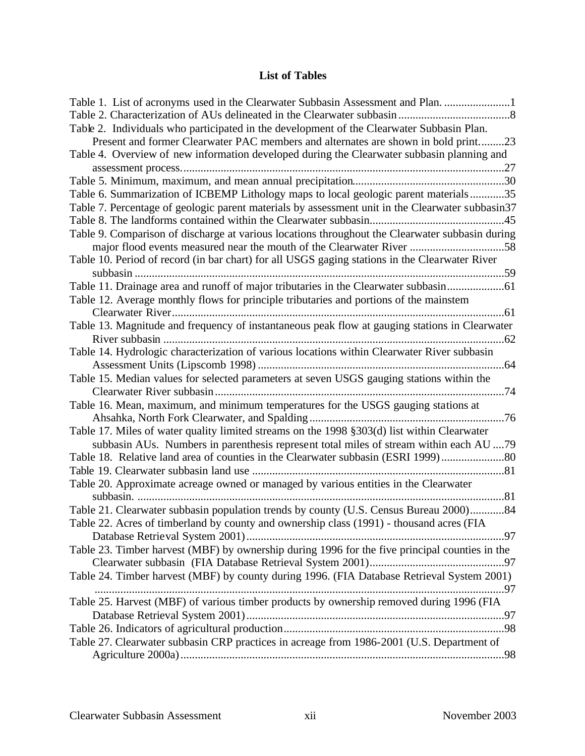## **List of Tables**

| Table 1. List of acronyms used in the Clearwater Subbasin Assessment and Plan.                   |
|--------------------------------------------------------------------------------------------------|
|                                                                                                  |
| Table 2. Individuals who participated in the development of the Clearwater Subbasin Plan.        |
| Present and former Clearwater PAC members and alternates are shown in bold print23               |
| Table 4. Overview of new information developed during the Clearwater subbasin planning and       |
|                                                                                                  |
|                                                                                                  |
| Table 6. Summarization of ICBEMP Lithology maps to local geologic parent materials35             |
| Table 7. Percentage of geologic parent materials by assessment unit in the Clearwater subbasin37 |
|                                                                                                  |
| Table 9. Comparison of discharge at various locations throughout the Clearwater subbasin during  |
| major flood events measured near the mouth of the Clearwater River 58                            |
| Table 10. Period of record (in bar chart) for all USGS gaging stations in the Clearwater River   |
|                                                                                                  |
| Table 11. Drainage area and runoff of major tributaries in the Clearwater subbasin               |
| Table 12. Average monthly flows for principle tributaries and portions of the mainstem           |
|                                                                                                  |
| Table 13. Magnitude and frequency of instantaneous peak flow at gauging stations in Clearwater   |
|                                                                                                  |
| Table 14. Hydrologic characterization of various locations within Clearwater River subbasin      |
|                                                                                                  |
| Table 15. Median values for selected parameters at seven USGS gauging stations within the        |
|                                                                                                  |
| Table 16. Mean, maximum, and minimum temperatures for the USGS gauging stations at               |
|                                                                                                  |
| Table 17. Miles of water quality limited streams on the 1998 §303(d) list within Clearwater      |
| subbasin AUs. Numbers in parenthesis represent total miles of stream within each AU 79           |
|                                                                                                  |
|                                                                                                  |
| Table 20. Approximate acreage owned or managed by various entities in the Clearwater             |
|                                                                                                  |
| Table 21. Clearwater subbasin population trends by county (U.S. Census Bureau 2000)84            |
| Table 22. Acres of timberland by county and ownership class (1991) - thousand acres (FIA         |
|                                                                                                  |
| Table 23. Timber harvest (MBF) by ownership during 1996 for the five principal counties in the   |
|                                                                                                  |
| Table 24. Timber harvest (MBF) by county during 1996. (FIA Database Retrieval System 2001)       |
| Table 25. Harvest (MBF) of various timber products by ownership removed during 1996 (FIA         |
|                                                                                                  |
|                                                                                                  |
| Table 27. Clearwater subbasin CRP practices in acreage from 1986-2001 (U.S. Department of        |
|                                                                                                  |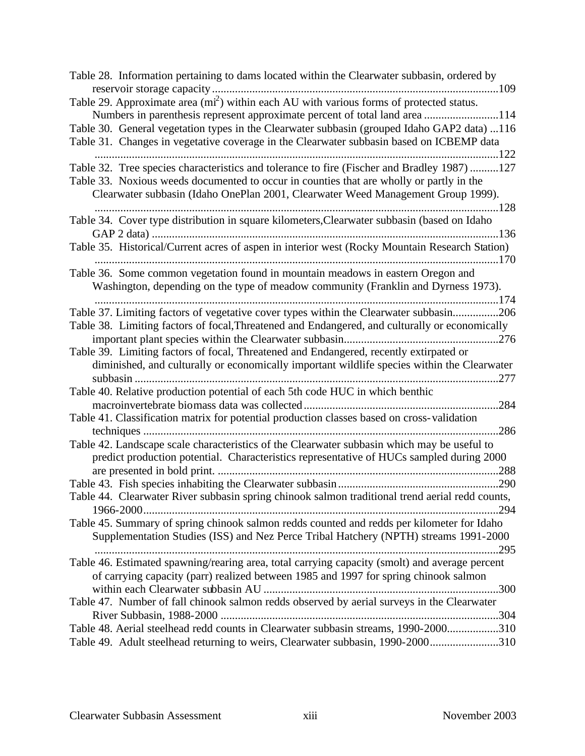| Table 28. Information pertaining to dams located within the Clearwater subbasin, ordered by          |
|------------------------------------------------------------------------------------------------------|
|                                                                                                      |
| Table 29. Approximate area (mi <sup>2</sup> ) within each AU with various forms of protected status. |
| Numbers in parenthesis represent approximate percent of total land area 114                          |
| Table 30. General vegetation types in the Clearwater subbasin (grouped Idaho GAP2 data) 116          |
| Table 31. Changes in vegetative coverage in the Clearwater subbasin based on ICBEMP data             |
|                                                                                                      |
| Table 32. Tree species characteristics and tolerance to fire (Fischer and Bradley 1987)127           |
| Table 33. Noxious weeds documented to occur in counties that are wholly or partly in the             |
| Clearwater subbasin (Idaho OnePlan 2001, Clearwater Weed Management Group 1999).                     |
|                                                                                                      |
| Table 34. Cover type distribution in square kilometers, Clearwater subbasin (based on Idaho          |
|                                                                                                      |
| Table 35. Historical/Current acres of aspen in interior west (Rocky Mountain Research Station)       |
|                                                                                                      |
| Table 36. Some common vegetation found in mountain meadows in eastern Oregon and                     |
| Washington, depending on the type of meadow community (Franklin and Dyrness 1973).                   |
|                                                                                                      |
| Table 37. Limiting factors of vegetative cover types within the Clearwater subbasin206               |
| Table 38. Limiting factors of focal, Threatened and Endangered, and culturally or economically       |
|                                                                                                      |
| Table 39. Limiting factors of focal, Threatened and Endangered, recently extirpated or               |
| diminished, and culturally or economically important wildlife species within the Clearwater          |
| .277                                                                                                 |
| Table 40. Relative production potential of each 5th code HUC in which benthic                        |
| .284                                                                                                 |
| Table 41. Classification matrix for potential production classes based on cross-validation           |
| .286                                                                                                 |
| Table 42. Landscape scale characteristics of the Clearwater subbasin which may be useful to          |
|                                                                                                      |
| predict production potential. Characteristics representative of HUCs sampled during 2000             |
|                                                                                                      |
|                                                                                                      |
| Table 44. Clearwater River subbasin spring chinook salmon traditional trend aerial redd counts,      |
| 294                                                                                                  |
| Table 45. Summary of spring chinook salmon redds counted and redds per kilometer for Idaho           |
| Supplementation Studies (ISS) and Nez Perce Tribal Hatchery (NPTH) streams 1991-2000                 |
|                                                                                                      |
| Table 46. Estimated spawning/rearing area, total carrying capacity (smolt) and average percent       |
| of carrying capacity (parr) realized between 1985 and 1997 for spring chinook salmon                 |
|                                                                                                      |
| Table 47. Number of fall chinook salmon redds observed by aerial surveys in the Clearwater           |
|                                                                                                      |
| Table 48. Aerial steelhead redd counts in Clearwater subbasin streams, 1990-2000310                  |
| Table 49. Adult steelhead returning to weirs, Clearwater subbasin, 1990-2000310                      |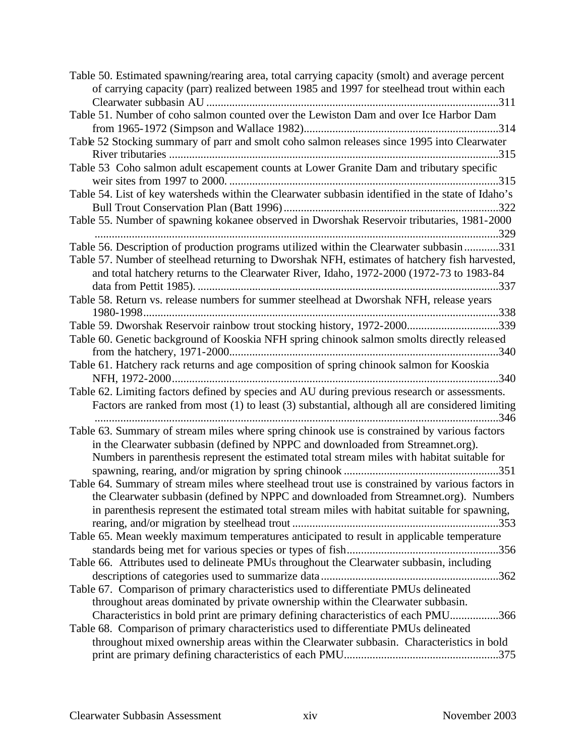| Table 50. Estimated spawning/rearing area, total carrying capacity (smolt) and average percent     |
|----------------------------------------------------------------------------------------------------|
| of carrying capacity (parr) realized between 1985 and 1997 for steelhead trout within each         |
|                                                                                                    |
| Table 51. Number of coho salmon counted over the Lewiston Dam and over Ice Harbor Dam              |
|                                                                                                    |
| Table 52 Stocking summary of parr and smolt coho salmon releases since 1995 into Clearwater        |
|                                                                                                    |
| Table 53 Coho salmon adult escapement counts at Lower Granite Dam and tributary specific           |
|                                                                                                    |
| Table 54. List of key watersheds within the Clearwater subbasin identified in the state of Idaho's |
|                                                                                                    |
| Table 55. Number of spawning kokanee observed in Dworshak Reservoir tributaries, 1981-2000         |
|                                                                                                    |
| Table 56. Description of production programs utilized within the Clearwater subbasin331            |
| Table 57. Number of steelhead returning to Dworshak NFH, estimates of hatchery fish harvested,     |
| and total hatchery returns to the Clearwater River, Idaho, 1972-2000 (1972-73 to 1983-84           |
|                                                                                                    |
| Table 58. Return vs. release numbers for summer steelhead at Dworshak NFH, release years           |
|                                                                                                    |
| Table 59. Dworshak Reservoir rainbow trout stocking history, 1972-2000339                          |
| Table 60. Genetic background of Kooskia NFH spring chinook salmon smolts directly released         |
|                                                                                                    |
| Table 61. Hatchery rack returns and age composition of spring chinook salmon for Kooskia           |
|                                                                                                    |
| Table 62. Limiting factors defined by species and AU during previous research or assessments.      |
| Factors are ranked from most (1) to least (3) substantial, although all are considered limiting    |
|                                                                                                    |
| Table 63. Summary of stream miles where spring chinook use is constrained by various factors       |
| in the Clearwater subbasin (defined by NPPC and downloaded from Streamnet.org).                    |
| Numbers in parenthesis represent the estimated total stream miles with habitat suitable for        |
|                                                                                                    |
| Table 64. Summary of stream miles where steelhead trout use is constrained by various factors in   |
| the Clearwater subbasin (defined by NPPC and downloaded from Streamnet.org). Numbers               |
| in parenthesis represent the estimated total stream miles with habitat suitable for spawning,      |
|                                                                                                    |
| Table 65. Mean weekly maximum temperatures anticipated to result in applicable temperature         |
|                                                                                                    |
| Table 66. Attributes used to delineate PMUs throughout the Clearwater subbasin, including          |
|                                                                                                    |
| Table 67. Comparison of primary characteristics used to differentiate PMUs delineated              |
| throughout areas dominated by private ownership within the Clearwater subbasin.                    |
| Characteristics in bold print are primary defining characteristics of each PMU366                  |
| Table 68. Comparison of primary characteristics used to differentiate PMUs delineated              |
| throughout mixed ownership areas within the Clearwater subbasin. Characteristics in bold           |
|                                                                                                    |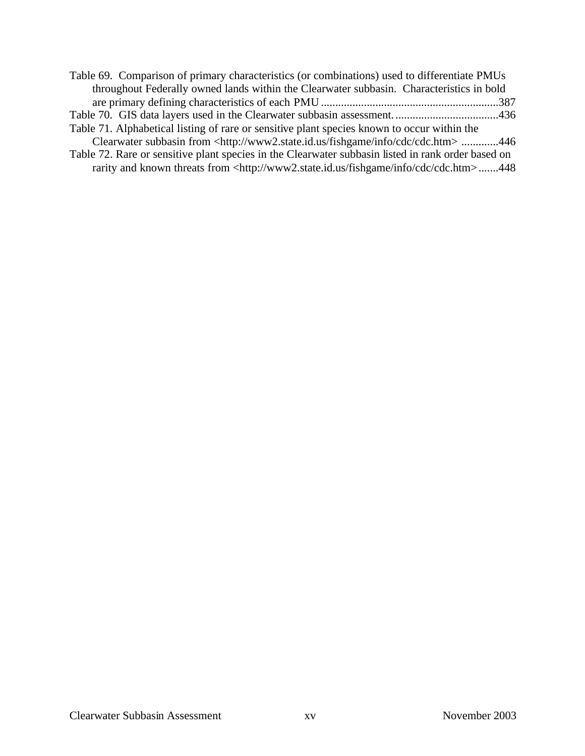| Table 69. Comparison of primary characteristics (or combinations) used to differentiate PMUs               |  |
|------------------------------------------------------------------------------------------------------------|--|
| throughout Federally owned lands within the Clearwater subbasin. Characteristics in bold                   |  |
|                                                                                                            |  |
|                                                                                                            |  |
| Table 71. Alphabetical listing of rare or sensitive plant species known to occur within the                |  |
| Clearwater subbasin from <http: cdc="" cdc.htm="" fishgame="" info="" www2.state.id.us=""> 446</http:>     |  |
| Table 72. Rare or sensitive plant species in the Clearwater subbasin listed in rank order based on         |  |
| rarity and known threats from <http: cdc="" cdc.htm="" fishgame="" info="" www2.state.id.us="">448</http:> |  |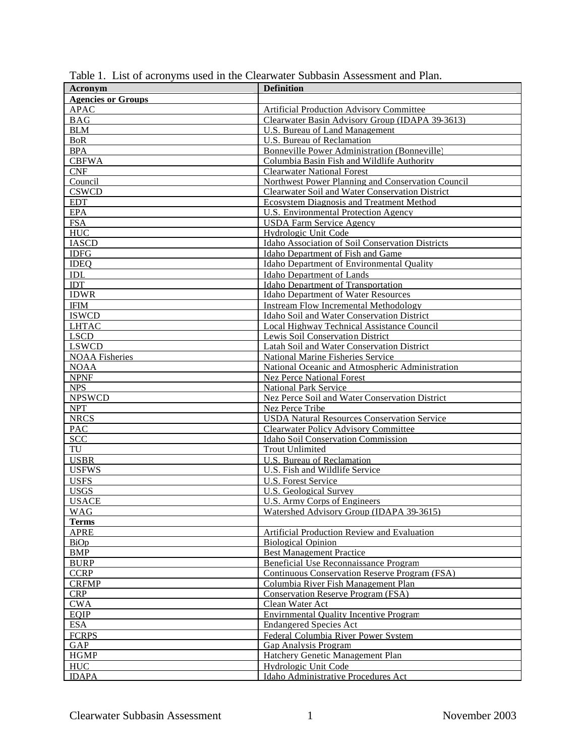| Acronym                   | <b>Definition</b>                                   |  |  |
|---------------------------|-----------------------------------------------------|--|--|
| <b>Agencies or Groups</b> |                                                     |  |  |
| <b>APAC</b>               | <b>Artificial Production Advisory Committee</b>     |  |  |
| <b>BAG</b>                | Clearwater Basin Advisory Group (IDAPA 39-3613)     |  |  |
| <b>BLM</b>                | U.S. Bureau of Land Management                      |  |  |
| <b>BoR</b>                | U.S. Bureau of Reclamation                          |  |  |
| <b>BPA</b>                | <b>Bonneville Power Administration (Bonneville)</b> |  |  |
| <b>CBFWA</b>              | Columbia Basin Fish and Wildlife Authority          |  |  |
| <b>CNF</b>                | <b>Clearwater National Forest</b>                   |  |  |
| Council                   | Northwest Power Planning and Conservation Council   |  |  |
| <b>CSWCD</b>              | Clearwater Soil and Water Conservation District     |  |  |
| <b>EDT</b>                | <b>Ecosystem Diagnosis and Treatment Method</b>     |  |  |
| <b>EPA</b>                | U.S. Environmental Protection Agency                |  |  |
| <b>FSA</b>                | <b>USDA Farm Service Agency</b>                     |  |  |
| <b>HUC</b>                | Hydrologic Unit Code                                |  |  |
| <b>IASCD</b>              | Idaho Association of Soil Conservation Districts    |  |  |
| <b>IDFG</b>               | Idaho Department of Fish and Game                   |  |  |
| <b>IDEQ</b>               | Idaho Department of Environmental Quality           |  |  |
|                           |                                                     |  |  |
| $\mathbf{IDI}$<br>IDT     | <b>Idaho Department of Lands</b>                    |  |  |
|                           | <b>Idaho Department of Transportation</b>           |  |  |
| <b>IDWR</b>               | Idaho Department of Water Resources                 |  |  |
| <b>IFIM</b>               | <b>Instream Flow Incremental Methodology</b>        |  |  |
| <b>ISWCD</b>              | Idaho Soil and Water Conservation District          |  |  |
| <b>LHTAC</b>              | Local Highway Technical Assistance Council          |  |  |
| <b>LSCD</b>               | Lewis Soil Conservation District                    |  |  |
| <b>LSWCD</b>              | Latah Soil and Water Conservation District          |  |  |
| <b>NOAA Fisheries</b>     | National Marine Fisheries Service                   |  |  |
| <b>NOAA</b>               | National Oceanic and Atmospheric Administration     |  |  |
| <b>NPNF</b>               | <b>Nez Perce National Forest</b>                    |  |  |
| <b>NPS</b>                | <b>National Park Service</b>                        |  |  |
| <b>NPSWCD</b>             | Nez Perce Soil and Water Conservation District      |  |  |
| <b>NPT</b>                | Nez Perce Tribe                                     |  |  |
| <b>NRCS</b>               | <b>USDA Natural Resources Conservation Service</b>  |  |  |
| PAC                       | <b>Clearwater Policy Advisory Committee</b>         |  |  |
| <b>SCC</b>                | Idaho Soil Conservation Commission                  |  |  |
| TU                        | <b>Trout Unlimited</b>                              |  |  |
| <b>USBR</b>               | U.S. Bureau of Reclamation                          |  |  |
| <b>USFWS</b>              | U.S. Fish and Wildlife Service                      |  |  |
| <b>USFS</b>               | <b>U.S. Forest Service</b>                          |  |  |
| <b>USGS</b>               | <b>U.S. Geological Survey</b>                       |  |  |
| <b>USACE</b>              | U.S. Army Corps of Engineers                        |  |  |
| <b>WAG</b>                | Watershed Advisory Group (IDAPA 39-3615)            |  |  |
| <b>Terms</b>              |                                                     |  |  |
| <b>APRE</b>               | Artificial Production Review and Evaluation         |  |  |
| <b>BiOp</b>               | <b>Biological Opinion</b>                           |  |  |
| <b>BMP</b>                | <b>Best Management Practice</b>                     |  |  |
| <b>BURP</b>               | Beneficial Use Reconnaissance Program               |  |  |
| <b>CCRP</b>               | Continuous Conservation Reserve Program (FSA)       |  |  |
| <b>CRFMP</b>              | Columbia River Fish Management Plan                 |  |  |
| <b>CRP</b>                | <b>Conservation Reserve Program (FSA)</b>           |  |  |
| <b>CWA</b>                | Clean Water Act                                     |  |  |
| <b>EOIP</b>               | <b>Envirnmental Quality Incentive Program</b>       |  |  |
| <b>ESA</b>                |                                                     |  |  |
| <b>FCRPS</b>              | <b>Endangered Species Act</b>                       |  |  |
|                           | Federal Columbia River Power System                 |  |  |
| GAP                       | <b>Gap Analysis Program</b>                         |  |  |
| <b>HGMP</b>               | Hatchery Genetic Management Plan                    |  |  |
| HUC                       | Hydrologic Unit Code                                |  |  |
| <b>IDAPA</b>              | Idaho Administrative Procedures Act                 |  |  |

Table 1. List of acronyms used in the Clearwater Subbasin Assessment and Plan.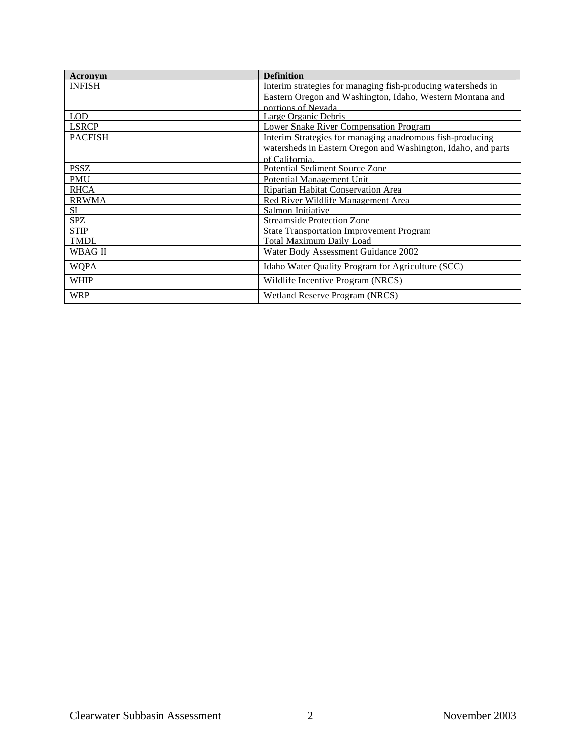| Acronym        | <b>Definition</b>                                             |  |  |
|----------------|---------------------------------------------------------------|--|--|
| <b>INFISH</b>  | Interim strategies for managing fish-producing watersheds in  |  |  |
|                | Eastern Oregon and Washington, Idaho, Western Montana and     |  |  |
|                | portions of Nevada                                            |  |  |
| <b>LOD</b>     | Large Organic Debris                                          |  |  |
| <b>LSRCP</b>   | Lower Snake River Compensation Program                        |  |  |
| <b>PACFISH</b> | Interim Strategies for managing anadromous fish-producing     |  |  |
|                | watersheds in Eastern Oregon and Washington, Idaho, and parts |  |  |
|                | of California.                                                |  |  |
| <b>PSSZ</b>    | <b>Potential Sediment Source Zone</b>                         |  |  |
| <b>PMU</b>     | Potential Management Unit                                     |  |  |
| <b>RHCA</b>    | Riparian Habitat Conservation Area                            |  |  |
| <b>RRWMA</b>   | Red River Wildlife Management Area                            |  |  |
| SI.            | Salmon Initiative                                             |  |  |
| <b>SPZ</b>     | <b>Streamside Protection Zone</b>                             |  |  |
| <b>STIP</b>    | <b>State Transportation Improvement Program</b>               |  |  |
| <b>TMDL</b>    | Total Maximum Daily Load                                      |  |  |
| WBAG II        | Water Body Assessment Guidance 2002                           |  |  |
| <b>WQPA</b>    | Idaho Water Quality Program for Agriculture (SCC)             |  |  |
| WHIP           | Wildlife Incentive Program (NRCS)                             |  |  |
| <b>WRP</b>     | Wetland Reserve Program (NRCS)                                |  |  |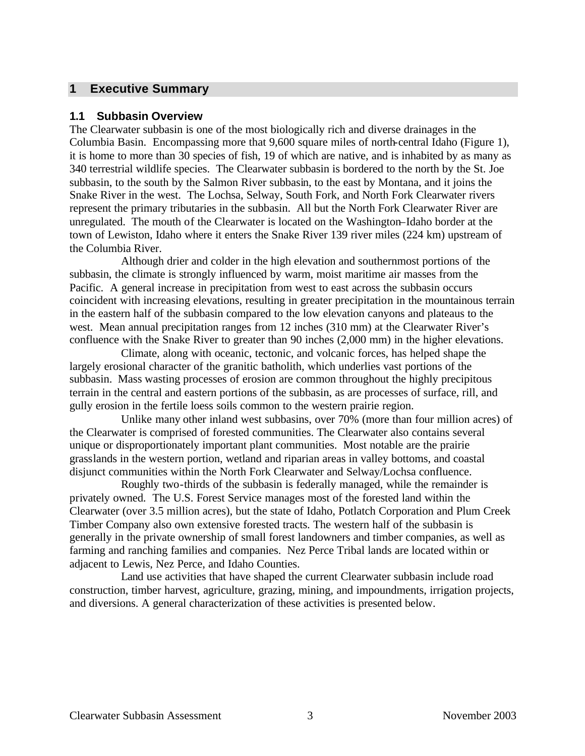#### **1 Executive Summary**

#### **1.1 Subbasin Overview**

The Clearwater subbasin is one of the most biologically rich and diverse drainages in the Columbia Basin. Encompassing more that 9,600 square miles of north-central Idaho (Figure 1), it is home to more than 30 species of fish, 19 of which are native, and is inhabited by as many as 340 terrestrial wildlife species. The Clearwater subbasin is bordered to the north by the St. Joe subbasin, to the south by the Salmon River subbasin, to the east by Montana, and it joins the Snake River in the west. The Lochsa, Selway, South Fork, and North Fork Clearwater rivers represent the primary tributaries in the subbasin. All but the North Fork Clearwater River are unregulated. The mouth of the Clearwater is located on the Washington–Idaho border at the town of Lewiston, Idaho where it enters the Snake River 139 river miles (224 km) upstream of the Columbia River.

Although drier and colder in the high elevation and southernmost portions of the subbasin, the climate is strongly influenced by warm, moist maritime air masses from the Pacific. A general increase in precipitation from west to east across the subbasin occurs coincident with increasing elevations, resulting in greater precipitation in the mountainous terrain in the eastern half of the subbasin compared to the low elevation canyons and plateaus to the west. Mean annual precipitation ranges from 12 inches (310 mm) at the Clearwater River's confluence with the Snake River to greater than 90 inches (2,000 mm) in the higher elevations.

Climate, along with oceanic, tectonic, and volcanic forces, has helped shape the largely erosional character of the granitic batholith, which underlies vast portions of the subbasin. Mass wasting processes of erosion are common throughout the highly precipitous terrain in the central and eastern portions of the subbasin, as are processes of surface, rill, and gully erosion in the fertile loess soils common to the western prairie region.

Unlike many other inland west subbasins, over 70% (more than four million acres) of the Clearwater is comprised of forested communities. The Clearwater also contains several unique or disproportionately important plant communities. Most notable are the prairie grasslands in the western portion, wetland and riparian areas in valley bottoms, and coastal disjunct communities within the North Fork Clearwater and Selway/Lochsa confluence.

Roughly two-thirds of the subbasin is federally managed, while the remainder is privately owned. The U.S. Forest Service manages most of the forested land within the Clearwater (over 3.5 million acres), but the state of Idaho, Potlatch Corporation and Plum Creek Timber Company also own extensive forested tracts. The western half of the subbasin is generally in the private ownership of small forest landowners and timber companies, as well as farming and ranching families and companies. Nez Perce Tribal lands are located within or adjacent to Lewis, Nez Perce, and Idaho Counties.

Land use activities that have shaped the current Clearwater subbasin include road construction, timber harvest, agriculture, grazing, mining, and impoundments, irrigation projects, and diversions. A general characterization of these activities is presented below.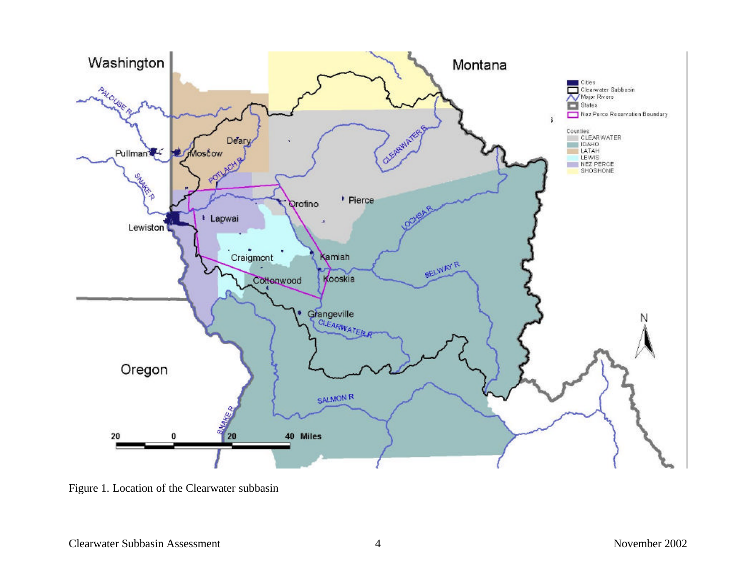

Figure 1. Location of the Clearwater subbasin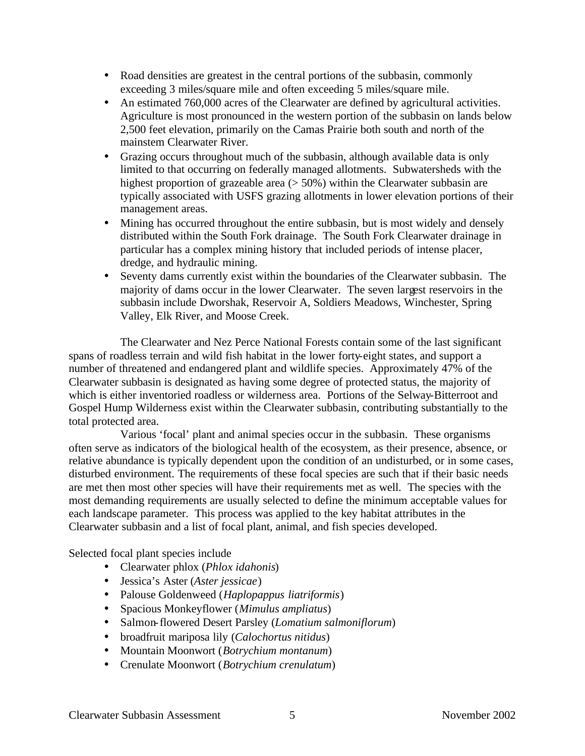- Road densities are greatest in the central portions of the subbasin, commonly exceeding 3 miles/square mile and often exceeding 5 miles/square mile.
- An estimated 760,000 acres of the Clearwater are defined by agricultural activities. Agriculture is most pronounced in the western portion of the subbasin on lands below 2,500 feet elevation, primarily on the Camas Prairie both south and north of the mainstem Clearwater River.
- Grazing occurs throughout much of the subbasin, although available data is only limited to that occurring on federally managed allotments. Subwatersheds with the highest proportion of grazeable area  $(> 50\%)$  within the Clearwater subbasin are typically associated with USFS grazing allotments in lower elevation portions of their management areas.
- Mining has occurred throughout the entire subbasin, but is most widely and densely distributed within the South Fork drainage. The South Fork Clearwater drainage in particular has a complex mining history that included periods of intense placer, dredge, and hydraulic mining.
- Seventy dams currently exist within the boundaries of the Clearwater subbasin. The majority of dams occur in the lower Clearwater. The seven largest reservoirs in the subbasin include Dworshak, Reservoir A, Soldiers Meadows, Winchester, Spring Valley, Elk River, and Moose Creek.

The Clearwater and Nez Perce National Forests contain some of the last significant spans of roadless terrain and wild fish habitat in the lower forty-eight states, and support a number of threatened and endangered plant and wildlife species. Approximately 47% of the Clearwater subbasin is designated as having some degree of protected status, the majority of which is either inventoried roadless or wilderness area. Portions of the Selway-Bitterroot and Gospel Hump Wilderness exist within the Clearwater subbasin, contributing substantially to the total protected area.

Various 'focal' plant and animal species occur in the subbasin. These organisms often serve as indicators of the biological health of the ecosystem, as their presence, absence, or relative abundance is typically dependent upon the condition of an undisturbed, or in some cases, disturbed environment. The requirements of these focal species are such that if their basic needs are met then most other species will have their requirements met as well. The species with the most demanding requirements are usually selected to define the minimum acceptable values for each landscape parameter. This process was applied to the key habitat attributes in the Clearwater subbasin and a list of focal plant, animal, and fish species developed.

Selected focal plant species include

- Clearwater phlox (*Phlox idahonis*)
- Jessica's Aster (*Aster jessicae*)
- Palouse Goldenweed (*Haplopappus liatriformis*)
- Spacious Monkeyflower (*Mimulus ampliatus*)
- Salmon-flowered Desert Parsley (*Lomatium salmoniflorum*)
- broadfruit mariposa lily (*Calochortus nitidus*)
- Mountain Moonwort (*Botrychium montanum*)
- Crenulate Moonwort (*Botrychium crenulatum*)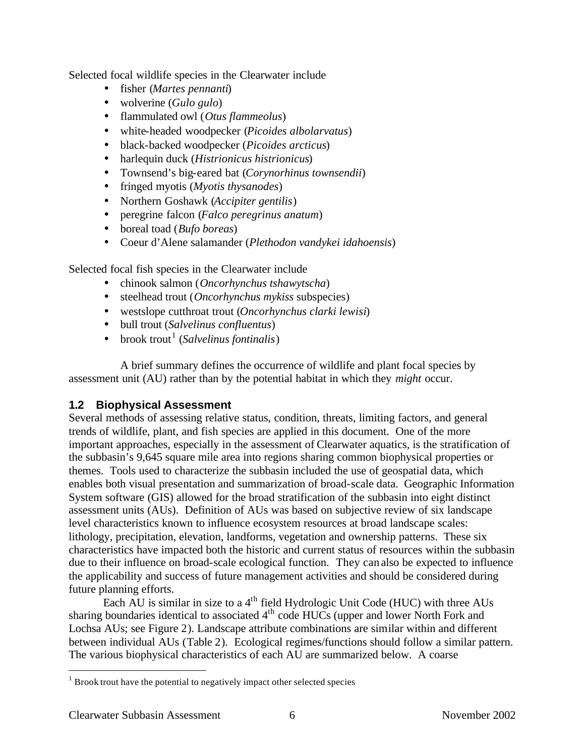Selected focal wildlife species in the Clearwater include

- fisher (*Martes pennanti*)
- wolverine (*Gulo gulo*)
- flammulated owl (*Otus flammeolus*)
- white-headed woodpecker (*Picoides albolarvatus*)
- black-backed woodpecker (*Picoides arcticus*)
- harlequin duck (*Histrionicus histrionicus*)
- Townsend's big-eared bat (*Corynorhinus townsendii*)
- fringed myotis (*Myotis thysanodes*)
- Northern Goshawk (*Accipiter gentilis*)
- peregrine falcon (*Falco peregrinus anatum*)
- boreal toad (*Bufo boreas*)
- Coeur d'Alene salamander (*Plethodon vandykei idahoensis*)

Selected focal fish species in the Clearwater include

- chinook salmon (*Oncorhynchus tshawytscha*)
- steelhead trout (*Oncorhynchus mykiss* subspecies)
- westslope cutthroat trout (*Oncorhynchus clarki lewisi*)
- bull trout (*Salvelinus confluentus*)
- brook trout<sup>1</sup> (*Salvelinus fontinalis*)

A brief summary defines the occurrence of wildlife and plant focal species by assessment unit (AU) rather than by the potential habitat in which they *might* occur.

## **1.2 Biophysical Assessment**

Several methods of assessing relative status, condition, threats, limiting factors, and general trends of wildlife, plant, and fish species are applied in this document. One of the more important approaches, especially in the assessment of Clearwater aquatics, is the stratification of the subbasin's 9,645 square mile area into regions sharing common biophysical properties or themes. Tools used to characterize the subbasin included the use of geospatial data, which enables both visual presentation and summarization of broad-scale data. Geographic Information System software (GIS) allowed for the broad stratification of the subbasin into eight distinct assessment units (AUs). Definition of AUs was based on subjective review of six landscape level characteristics known to influence ecosystem resources at broad landscape scales: lithology, precipitation, elevation, landforms, vegetation and ownership patterns. These six characteristics have impacted both the historic and current status of resources within the subbasin due to their influence on broad-scale ecological function. They can also be expected to influence the applicability and success of future management activities and should be considered during future planning efforts.

Each  $\tilde{AU}$  is similar in size to a 4<sup>th</sup> field Hydrologic Unit Code (HUC) with three AUs sharing boundaries identical to associated  $4<sup>th</sup>$  code HUCs (upper and lower North Fork and Lochsa AUs; see Figure 2). Landscape attribute combinations are similar within and different between individual AUs (Table 2). Ecological regimes/functions should follow a similar pattern. The various biophysical characteristics of each AU are summarized below. A coarse

 $\overline{a}$ 

 $1$  Brook trout have the potential to negatively impact other selected species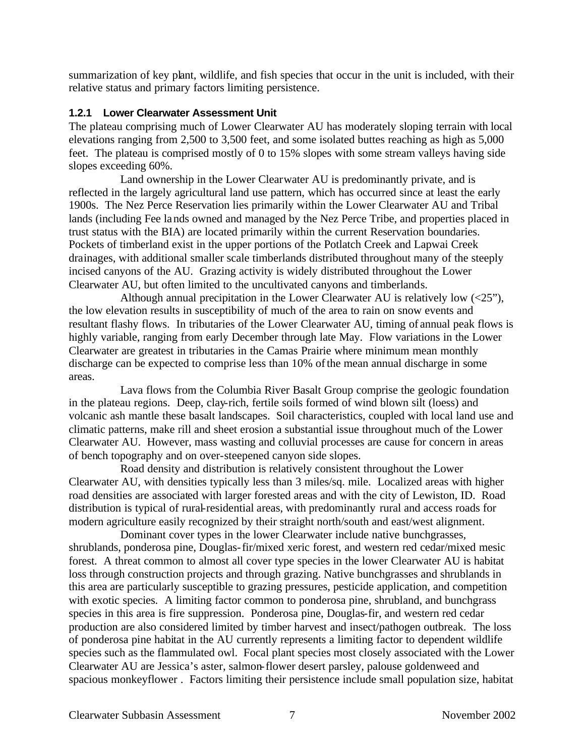summarization of key plant, wildlife, and fish species that occur in the unit is included, with their relative status and primary factors limiting persistence.

#### **1.2.1 Lower Clearwater Assessment Unit**

The plateau comprising much of Lower Clearwater AU has moderately sloping terrain with local elevations ranging from 2,500 to 3,500 feet, and some isolated buttes reaching as high as 5,000 feet. The plateau is comprised mostly of 0 to 15% slopes with some stream valleys having side slopes exceeding 60%.

Land ownership in the Lower Clearwater AU is predominantly private, and is reflected in the largely agricultural land use pattern, which has occurred since at least the early 1900s. The Nez Perce Reservation lies primarily within the Lower Clearwater AU and Tribal lands (including Fee lands owned and managed by the Nez Perce Tribe, and properties placed in trust status with the BIA) are located primarily within the current Reservation boundaries. Pockets of timberland exist in the upper portions of the Potlatch Creek and Lapwai Creek drainages, with additional smaller scale timberlands distributed throughout many of the steeply incised canyons of the AU. Grazing activity is widely distributed throughout the Lower Clearwater AU, but often limited to the uncultivated canyons and timberlands.

Although annual precipitation in the Lower Clearwater AU is relatively low (<25"), the low elevation results in susceptibility of much of the area to rain on snow events and resultant flashy flows. In tributaries of the Lower Clearwater AU, timing of annual peak flows is highly variable, ranging from early December through late May. Flow variations in the Lower Clearwater are greatest in tributaries in the Camas Prairie where minimum mean monthly discharge can be expected to comprise less than 10% of the mean annual discharge in some areas.

Lava flows from the Columbia River Basalt Group comprise the geologic foundation in the plateau regions. Deep, clay-rich, fertile soils formed of wind blown silt (loess) and volcanic ash mantle these basalt landscapes. Soil characteristics, coupled with local land use and climatic patterns, make rill and sheet erosion a substantial issue throughout much of the Lower Clearwater AU. However, mass wasting and colluvial processes are cause for concern in areas of bench topography and on over-steepened canyon side slopes.

Road density and distribution is relatively consistent throughout the Lower Clearwater AU, with densities typically less than 3 miles/sq. mile. Localized areas with higher road densities are associated with larger forested areas and with the city of Lewiston, ID. Road distribution is typical of rural-residential areas, with predominantly rural and access roads for modern agriculture easily recognized by their straight north/south and east/west alignment.

Dominant cover types in the lower Clearwater include native bunchgrasses, shrublands, ponderosa pine, Douglas-fir/mixed xeric forest, and western red cedar/mixed mesic forest. A threat common to almost all cover type species in the lower Clearwater AU is habitat loss through construction projects and through grazing. Native bunchgrasses and shrublands in this area are particularly susceptible to grazing pressures, pesticide application, and competition with exotic species. A limiting factor common to ponderosa pine, shrubland, and bunchgrass species in this area is fire suppression. Ponderosa pine, Douglas-fir, and western red cedar production are also considered limited by timber harvest and insect/pathogen outbreak. The loss of ponderosa pine habitat in the AU currently represents a limiting factor to dependent wildlife species such as the flammulated owl. Focal plant species most closely associated with the Lower Clearwater AU are Jessica's aster, salmon-flower desert parsley, palouse goldenweed and spacious monkeyflower . Factors limiting their persistence include small population size, habitat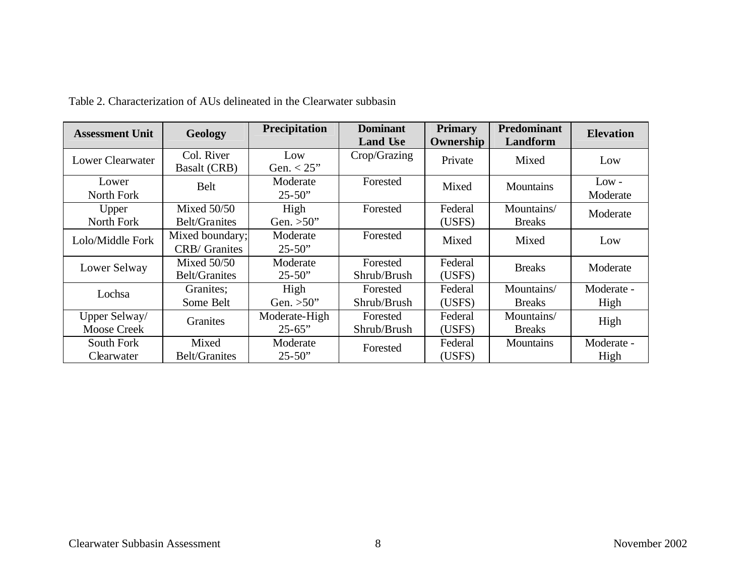| <b>Assessment Unit</b>              | Geology                                 | Precipitation                | <b>Dominant</b><br><b>Land Use</b> | <b>Primary</b><br>Ownership | <b>Predominant</b><br>Landform | <b>Elevation</b>    |
|-------------------------------------|-----------------------------------------|------------------------------|------------------------------------|-----------------------------|--------------------------------|---------------------|
| Lower Clearwater                    | Col. River<br><b>Basalt (CRB)</b>       | Low<br>Gen. $< 25$ "         | Crop/Grazing                       | Private                     | Mixed                          | Low                 |
| Lower<br>North Fork                 | <b>Belt</b>                             | Moderate<br>$25 - 50$ "      | Forested                           | Mixed                       | <b>Mountains</b>               | $Low -$<br>Moderate |
| Upper<br>North Fork                 | Mixed $50/50$<br><b>Belt/Granites</b>   | High<br>Gen. $>50$ "         | Forested                           | Federal<br>(USFS)           | Mountains/<br><b>Breaks</b>    | Moderate            |
| Lolo/Middle Fork                    | Mixed boundary;<br><b>CRB/</b> Granites | Moderate<br>$25 - 50$ "      | Forested                           | Mixed                       | Mixed                          | Low                 |
| Lower Selway                        | Mixed $50/50$<br><b>Belt/Granites</b>   | Moderate<br>$25 - 50$ "      | Forested<br>Shrub/Brush            | Federal<br>(USFS)           | <b>Breaks</b>                  | Moderate            |
| Lochsa                              | Granites;<br>Some Belt                  | High<br>Gen. $>50$ "         | Forested<br>Shrub/Brush            | Federal<br>(USFS)           | Mountains/<br><b>Breaks</b>    | Moderate -<br>High  |
| Upper Selway/<br><b>Moose Creek</b> | <b>Granites</b>                         | Moderate-High<br>$25 - 65$ " | Forested<br>Shrub/Brush            | Federal<br>(USFS)           | Mountains/<br><b>Breaks</b>    | High                |
| South Fork<br>Clearwater            | Mixed<br><b>Belt/Granites</b>           | Moderate<br>$25 - 50$ "      | Forested                           | Federal<br>(USFS)           | <b>Mountains</b>               | Moderate -<br>High  |

Table 2. Characterization of AUs delineated in the Clearwater subbasin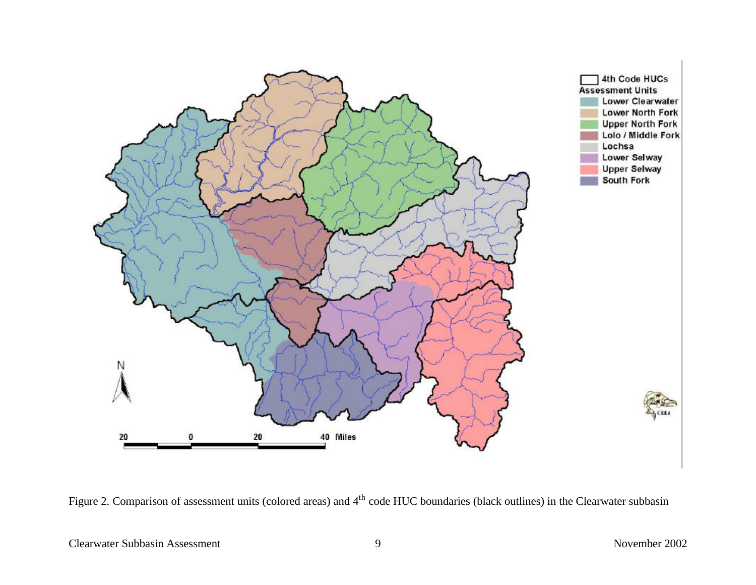

Figure 2. Comparison of assessment units (colored areas) and 4<sup>th</sup> code HUC boundaries (black outlines) in the Clearwater subbasin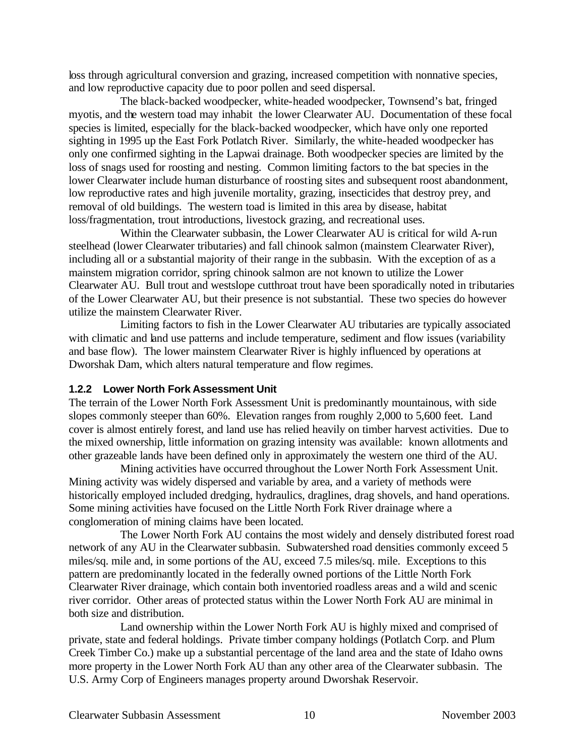loss through agricultural conversion and grazing, increased competition with nonnative species, and low reproductive capacity due to poor pollen and seed dispersal.

The black-backed woodpecker, white-headed woodpecker, Townsend's bat, fringed myotis, and the western toad may inhabit the lower Clearwater AU. Documentation of these focal species is limited, especially for the black-backed woodpecker, which have only one reported sighting in 1995 up the East Fork Potlatch River. Similarly, the white-headed woodpecker has only one confirmed sighting in the Lapwai drainage. Both woodpecker species are limited by the loss of snags used for roosting and nesting. Common limiting factors to the bat species in the lower Clearwater include human disturbance of roosting sites and subsequent roost abandonment, low reproductive rates and high juvenile mortality, grazing, insecticides that destroy prey, and removal of old buildings. The western toad is limited in this area by disease, habitat loss/fragmentation, trout introductions, livestock grazing, and recreational uses.

Within the Clearwater subbasin, the Lower Clearwater AU is critical for wild A-run steelhead (lower Clearwater tributaries) and fall chinook salmon (mainstem Clearwater River), including all or a substantial majority of their range in the subbasin. With the exception of as a mainstem migration corridor, spring chinook salmon are not known to utilize the Lower Clearwater AU. Bull trout and westslope cutthroat trout have been sporadically noted in tributaries of the Lower Clearwater AU, but their presence is not substantial. These two species do however utilize the mainstem Clearwater River.

Limiting factors to fish in the Lower Clearwater AU tributaries are typically associated with climatic and land use patterns and include temperature, sediment and flow issues (variability and base flow). The lower mainstem Clearwater River is highly influenced by operations at Dworshak Dam, which alters natural temperature and flow regimes.

#### **1.2.2 Lower North Fork Assessment Unit**

The terrain of the Lower North Fork Assessment Unit is predominantly mountainous, with side slopes commonly steeper than 60%. Elevation ranges from roughly 2,000 to 5,600 feet. Land cover is almost entirely forest, and land use has relied heavily on timber harvest activities. Due to the mixed ownership, little information on grazing intensity was available: known allotments and other grazeable lands have been defined only in approximately the western one third of the AU.

Mining activities have occurred throughout the Lower North Fork Assessment Unit. Mining activity was widely dispersed and variable by area, and a variety of methods were historically employed included dredging, hydraulics, draglines, drag shovels, and hand operations. Some mining activities have focused on the Little North Fork River drainage where a conglomeration of mining claims have been located.

The Lower North Fork AU contains the most widely and densely distributed forest road network of any AU in the Clearwater subbasin. Subwatershed road densities commonly exceed 5 miles/sq. mile and, in some portions of the AU, exceed 7.5 miles/sq. mile. Exceptions to this pattern are predominantly located in the federally owned portions of the Little North Fork Clearwater River drainage, which contain both inventoried roadless areas and a wild and scenic river corridor. Other areas of protected status within the Lower North Fork AU are minimal in both size and distribution.

Land ownership within the Lower North Fork AU is highly mixed and comprised of private, state and federal holdings. Private timber company holdings (Potlatch Corp. and Plum Creek Timber Co.) make up a substantial percentage of the land area and the state of Idaho owns more property in the Lower North Fork AU than any other area of the Clearwater subbasin. The U.S. Army Corp of Engineers manages property around Dworshak Reservoir.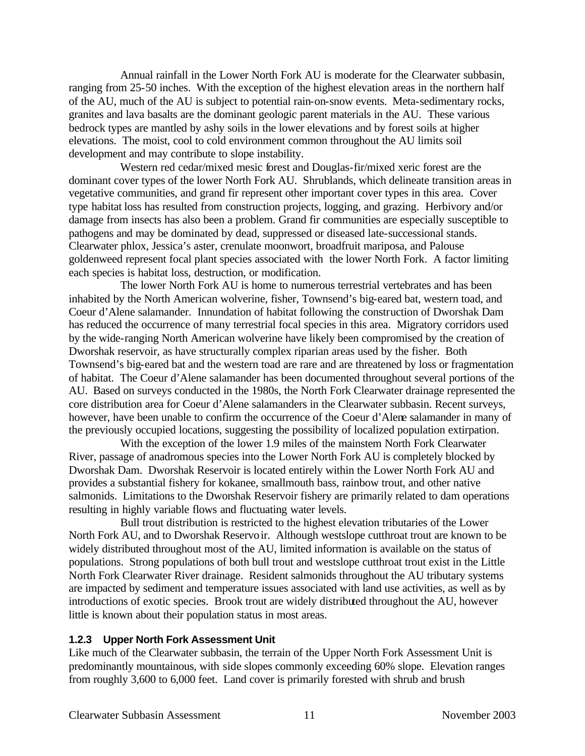Annual rainfall in the Lower North Fork AU is moderate for the Clearwater subbasin, ranging from 25-50 inches. With the exception of the highest elevation areas in the northern half of the AU, much of the AU is subject to potential rain-on-snow events. Meta-sedimentary rocks, granites and lava basalts are the dominant geologic parent materials in the AU. These various bedrock types are mantled by ashy soils in the lower elevations and by forest soils at higher elevations. The moist, cool to cold environment common throughout the AU limits soil development and may contribute to slope instability.

Western red cedar/mixed mesic forest and Douglas-fir/mixed xeric forest are the dominant cover types of the lower North Fork AU. Shrublands, which delineate transition areas in vegetative communities, and grand fir represent other important cover types in this area. Cover type habitat loss has resulted from construction projects, logging, and grazing. Herbivory and/or damage from insects has also been a problem. Grand fir communities are especially susceptible to pathogens and may be dominated by dead, suppressed or diseased late-successional stands. Clearwater phlox, Jessica's aster, crenulate moonwort, broadfruit mariposa, and Palouse goldenweed represent focal plant species associated with the lower North Fork. A factor limiting each species is habitat loss, destruction, or modification.

The lower North Fork AU is home to numerous terrestrial vertebrates and has been inhabited by the North American wolverine, fisher, Townsend's big-eared bat, western toad, and Coeur d'Alene salamander. Innundation of habitat following the construction of Dworshak Dam has reduced the occurrence of many terrestrial focal species in this area. Migratory corridors used by the wide-ranging North American wolverine have likely been compromised by the creation of Dworshak reservoir, as have structurally complex riparian areas used by the fisher. Both Townsend's big-eared bat and the western toad are rare and are threatened by loss or fragmentation of habitat. The Coeur d'Alene salamander has been documented throughout several portions of the AU. Based on surveys conducted in the 1980s, the North Fork Clearwater drainage represented the core distribution area for Coeur d'Alene salamanders in the Clearwater subbasin. Recent surveys, however, have been unable to confirm the occurrence of the Coeur d'Alene salamander in many of the previously occupied locations, suggesting the possibility of localized population extirpation.

With the exception of the lower 1.9 miles of the mainstem North Fork Clearwater River, passage of anadromous species into the Lower North Fork AU is completely blocked by Dworshak Dam. Dworshak Reservoir is located entirely within the Lower North Fork AU and provides a substantial fishery for kokanee, smallmouth bass, rainbow trout, and other native salmonids. Limitations to the Dworshak Reservoir fishery are primarily related to dam operations resulting in highly variable flows and fluctuating water levels.

Bull trout distribution is restricted to the highest elevation tributaries of the Lower North Fork AU, and to Dworshak Reservoir. Although westslope cutthroat trout are known to be widely distributed throughout most of the AU, limited information is available on the status of populations. Strong populations of both bull trout and westslope cutthroat trout exist in the Little North Fork Clearwater River drainage. Resident salmonids throughout the AU tributary systems are impacted by sediment and temperature issues associated with land use activities, as well as by introductions of exotic species. Brook trout are widely distributed throughout the AU, however little is known about their population status in most areas.

#### **1.2.3 Upper North Fork Assessment Unit**

Like much of the Clearwater subbasin, the terrain of the Upper North Fork Assessment Unit is predominantly mountainous, with side slopes commonly exceeding 60% slope. Elevation ranges from roughly 3,600 to 6,000 feet. Land cover is primarily forested with shrub and brush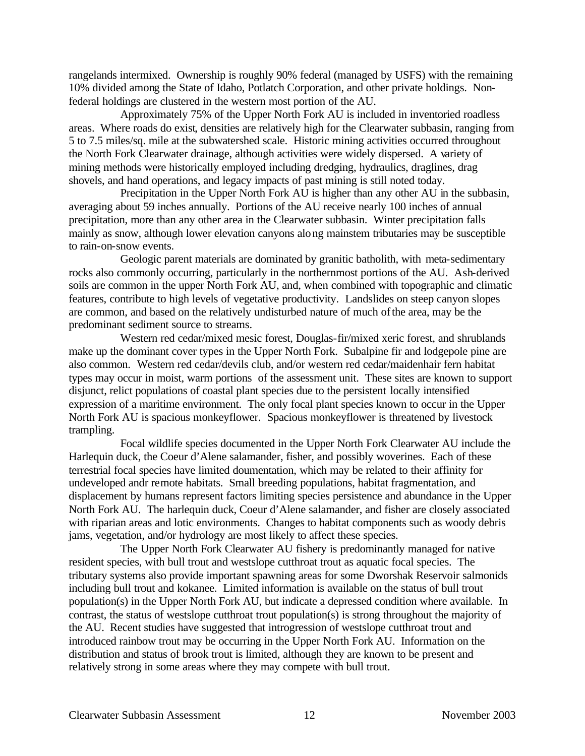rangelands intermixed. Ownership is roughly 90% federal (managed by USFS) with the remaining 10% divided among the State of Idaho, Potlatch Corporation, and other private holdings. Nonfederal holdings are clustered in the western most portion of the AU.

Approximately 75% of the Upper North Fork AU is included in inventoried roadless areas. Where roads do exist, densities are relatively high for the Clearwater subbasin, ranging from 5 to 7.5 miles/sq. mile at the subwatershed scale. Historic mining activities occurred throughout the North Fork Clearwater drainage, although activities were widely dispersed. A variety of mining methods were historically employed including dredging, hydraulics, draglines, drag shovels, and hand operations, and legacy impacts of past mining is still noted today.

Precipitation in the Upper North Fork AU is higher than any other AU in the subbasin, averaging about 59 inches annually. Portions of the AU receive nearly 100 inches of annual precipitation, more than any other area in the Clearwater subbasin. Winter precipitation falls mainly as snow, although lower elevation canyons along mainstem tributaries may be susceptible to rain-on-snow events.

Geologic parent materials are dominated by granitic batholith, with meta-sedimentary rocks also commonly occurring, particularly in the northernmost portions of the AU. Ash-derived soils are common in the upper North Fork AU, and, when combined with topographic and climatic features, contribute to high levels of vegetative productivity. Landslides on steep canyon slopes are common, and based on the relatively undisturbed nature of much of the area, may be the predominant sediment source to streams.

Western red cedar/mixed mesic forest, Douglas-fir/mixed xeric forest, and shrublands make up the dominant cover types in the Upper North Fork. Subalpine fir and lodgepole pine are also common. Western red cedar/devils club, and/or western red cedar/maidenhair fern habitat types may occur in moist, warm portions of the assessment unit. These sites are known to support disjunct, relict populations of coastal plant species due to the persistent locally intensified expression of a maritime environment. The only focal plant species known to occur in the Upper North Fork AU is spacious monkeyflower. Spacious monkeyflower is threatened by livestock trampling.

Focal wildlife species documented in the Upper North Fork Clearwater AU include the Harlequin duck, the Coeur d'Alene salamander, fisher, and possibly woverines. Each of these terrestrial focal species have limited doumentation, which may be related to their affinity for undeveloped andr remote habitats. Small breeding populations, habitat fragmentation, and displacement by humans represent factors limiting species persistence and abundance in the Upper North Fork AU. The harlequin duck, Coeur d'Alene salamander, and fisher are closely associated with riparian areas and lotic environments. Changes to habitat components such as woody debris jams, vegetation, and/or hydrology are most likely to affect these species.

The Upper North Fork Clearwater AU fishery is predominantly managed for native resident species, with bull trout and westslope cutthroat trout as aquatic focal species. The tributary systems also provide important spawning areas for some Dworshak Reservoir salmonids including bull trout and kokanee. Limited information is available on the status of bull trout population(s) in the Upper North Fork AU, but indicate a depressed condition where available. In contrast, the status of westslope cutthroat trout population(s) is strong throughout the majority of the AU. Recent studies have suggested that introgression of westslope cutthroat trout and introduced rainbow trout may be occurring in the Upper North Fork AU. Information on the distribution and status of brook trout is limited, although they are known to be present and relatively strong in some areas where they may compete with bull trout.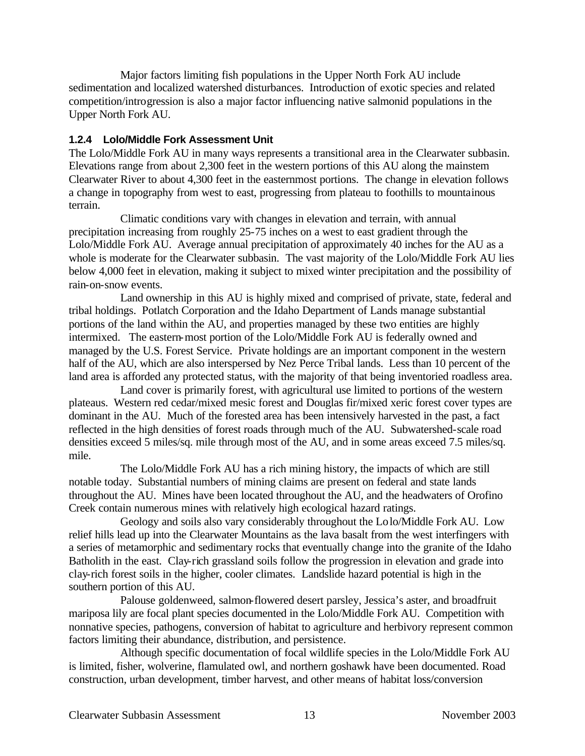Major factors limiting fish populations in the Upper North Fork AU include sedimentation and localized watershed disturbances. Introduction of exotic species and related competition/introgression is also a major factor influencing native salmonid populations in the Upper North Fork AU.

#### **1.2.4 Lolo/Middle Fork Assessment Unit**

The Lolo/Middle Fork AU in many ways represents a transitional area in the Clearwater subbasin. Elevations range from about 2,300 feet in the western portions of this AU along the mainstem Clearwater River to about 4,300 feet in the easternmost portions. The change in elevation follows a change in topography from west to east, progressing from plateau to foothills to mountainous terrain.

Climatic conditions vary with changes in elevation and terrain, with annual precipitation increasing from roughly 25-75 inches on a west to east gradient through the Lolo/Middle Fork AU. Average annual precipitation of approximately 40 inches for the AU as a whole is moderate for the Clearwater subbasin. The vast majority of the Lolo/Middle Fork AU lies below 4,000 feet in elevation, making it subject to mixed winter precipitation and the possibility of rain-on-snow events.

Land ownership in this AU is highly mixed and comprised of private, state, federal and tribal holdings. Potlatch Corporation and the Idaho Department of Lands manage substantial portions of the land within the AU, and properties managed by these two entities are highly intermixed. The eastern-most portion of the Lolo/Middle Fork AU is federally owned and managed by the U.S. Forest Service. Private holdings are an important component in the western half of the AU, which are also interspersed by Nez Perce Tribal lands. Less than 10 percent of the land area is afforded any protected status, with the majority of that being inventoried roadless area.

Land cover is primarily forest, with agricultural use limited to portions of the western plateaus. Western red cedar/mixed mesic forest and Douglas fir/mixed xeric forest cover types are dominant in the AU. Much of the forested area has been intensively harvested in the past, a fact reflected in the high densities of forest roads through much of the AU. Subwatershed-scale road densities exceed 5 miles/sq. mile through most of the AU, and in some areas exceed 7.5 miles/sq. mile.

The Lolo/Middle Fork AU has a rich mining history, the impacts of which are still notable today. Substantial numbers of mining claims are present on federal and state lands throughout the AU. Mines have been located throughout the AU, and the headwaters of Orofino Creek contain numerous mines with relatively high ecological hazard ratings.

Geology and soils also vary considerably throughout the Lolo/Middle Fork AU. Low relief hills lead up into the Clearwater Mountains as the lava basalt from the west interfingers with a series of metamorphic and sedimentary rocks that eventually change into the granite of the Idaho Batholith in the east. Clay-rich grassland soils follow the progression in elevation and grade into clay-rich forest soils in the higher, cooler climates. Landslide hazard potential is high in the southern portion of this AU.

Palouse goldenweed, salmon-flowered desert parsley, Jessica's aster, and broadfruit mariposa lily are focal plant species documented in the Lolo/Middle Fork AU. Competition with nonnative species, pathogens, conversion of habitat to agriculture and herbivory represent common factors limiting their abundance, distribution, and persistence.

Although specific documentation of focal wildlife species in the Lolo/Middle Fork AU is limited, fisher, wolverine, flamulated owl, and northern goshawk have been documented. Road construction, urban development, timber harvest, and other means of habitat loss/conversion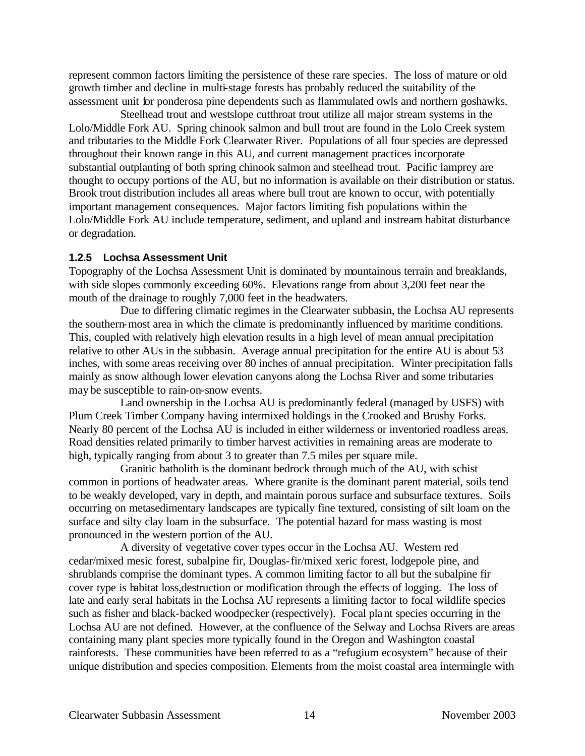represent common factors limiting the persistence of these rare species. The loss of mature or old growth timber and decline in multi-stage forests has probably reduced the suitability of the assessment unit for ponderosa pine dependents such as flammulated owls and northern goshawks.

Steelhead trout and westslope cutthroat trout utilize all major stream systems in the Lolo/Middle Fork AU. Spring chinook salmon and bull trout are found in the Lolo Creek system and tributaries to the Middle Fork Clearwater River. Populations of all four species are depressed throughout their known range in this AU, and current management practices incorporate substantial outplanting of both spring chinook salmon and steelhead trout. Pacific lamprey are thought to occupy portions of the AU, but no information is available on their distribution or status. Brook trout distribution includes all areas where bull trout are known to occur, with potentially important management consequences. Major factors limiting fish populations within the Lolo/Middle Fork AU include temperature, sediment, and upland and instream habitat disturbance or degradation.

#### **1.2.5 Lochsa Assessment Unit**

Topography of the Lochsa Assessment Unit is dominated by mountainous terrain and breaklands, with side slopes commonly exceeding 60%. Elevations range from about 3,200 feet near the mouth of the drainage to roughly 7,000 feet in the headwaters.

Due to differing climatic regimes in the Clearwater subbasin, the Lochsa AU represents the southern-most area in which the climate is predominantly influenced by maritime conditions. This, coupled with relatively high elevation results in a high level of mean annual precipitation relative to other AUs in the subbasin. Average annual precipitation for the entire AU is about 53 inches, with some areas receiving over 80 inches of annual precipitation. Winter precipitation falls mainly as snow although lower elevation canyons along the Lochsa River and some tributaries may be susceptible to rain-on-snow events.

Land ownership in the Lochsa AU is predominantly federal (managed by USFS) with Plum Creek Timber Company having intermixed holdings in the Crooked and Brushy Forks. Nearly 80 percent of the Lochsa AU is included in either wilderness or inventoried roadless areas. Road densities related primarily to timber harvest activities in remaining areas are moderate to high, typically ranging from about 3 to greater than 7.5 miles per square mile.

Granitic batholith is the dominant bedrock through much of the AU, with schist common in portions of headwater areas. Where granite is the dominant parent material, soils tend to be weakly developed, vary in depth, and maintain porous surface and subsurface textures. Soils occurring on metasedimentary landscapes are typically fine textured, consisting of silt loam on the surface and silty clay loam in the subsurface. The potential hazard for mass wasting is most pronounced in the western portion of the AU.

A diversity of vegetative cover types occur in the Lochsa AU. Western red cedar/mixed mesic forest, subalpine fir, Douglas-fir/mixed xeric forest, lodgepole pine, and shrublands comprise the dominant types. A common limiting factor to all but the subalpine fir cover type is habitat loss,destruction or modification through the effects of logging. The loss of late and early seral habitats in the Lochsa AU represents a limiting factor to focal wildlife species such as fisher and black-backed woodpecker (respectively). Focal plant species occurring in the Lochsa AU are not defined. However, at the confluence of the Selway and Lochsa Rivers are areas containing many plant species more typically found in the Oregon and Washington coastal rainforests. These communities have been referred to as a "refugium ecosystem" because of their unique distribution and species composition. Elements from the moist coastal area intermingle with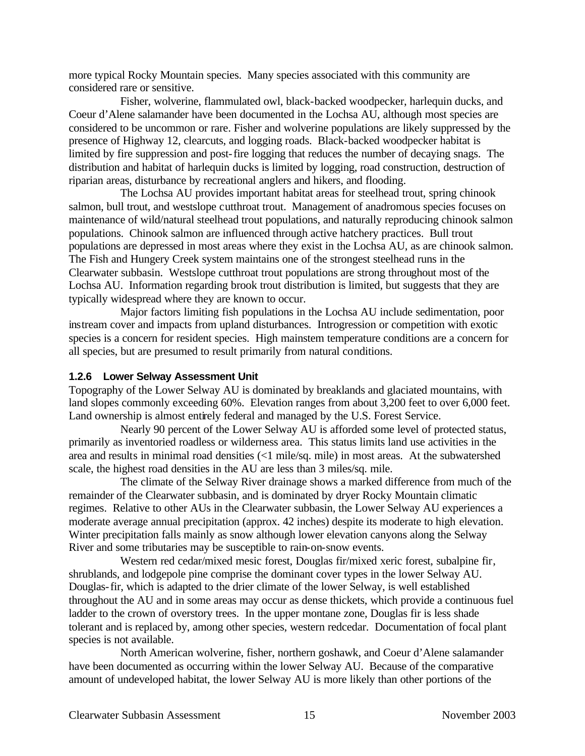more typical Rocky Mountain species. Many species associated with this community are considered rare or sensitive.

Fisher, wolverine, flammulated owl, black-backed woodpecker, harlequin ducks, and Coeur d'Alene salamander have been documented in the Lochsa AU, although most species are considered to be uncommon or rare. Fisher and wolverine populations are likely suppressed by the presence of Highway 12, clearcuts, and logging roads. Black-backed woodpecker habitat is limited by fire suppression and post-fire logging that reduces the number of decaying snags. The distribution and habitat of harlequin ducks is limited by logging, road construction, destruction of riparian areas, disturbance by recreational anglers and hikers, and flooding.

The Lochsa AU provides important habitat areas for steelhead trout, spring chinook salmon, bull trout, and westslope cutthroat trout. Management of anadromous species focuses on maintenance of wild/natural steelhead trout populations, and naturally reproducing chinook salmon populations. Chinook salmon are influenced through active hatchery practices. Bull trout populations are depressed in most areas where they exist in the Lochsa AU, as are chinook salmon. The Fish and Hungery Creek system maintains one of the strongest steelhead runs in the Clearwater subbasin. Westslope cutthroat trout populations are strong throughout most of the Lochsa AU. Information regarding brook trout distribution is limited, but suggests that they are typically widespread where they are known to occur.

Major factors limiting fish populations in the Lochsa AU include sedimentation, poor instream cover and impacts from upland disturbances. Introgression or competition with exotic species is a concern for resident species. High mainstem temperature conditions are a concern for all species, but are presumed to result primarily from natural conditions.

#### **1.2.6 Lower Selway Assessment Unit**

Topography of the Lower Selway AU is dominated by breaklands and glaciated mountains, with land slopes commonly exceeding 60%. Elevation ranges from about 3,200 feet to over 6,000 feet. Land ownership is almost entirely federal and managed by the U.S. Forest Service.

Nearly 90 percent of the Lower Selway AU is afforded some level of protected status, primarily as inventoried roadless or wilderness area. This status limits land use activities in the area and results in minimal road densities (<1 mile/sq. mile) in most areas. At the subwatershed scale, the highest road densities in the AU are less than 3 miles/sq. mile.

The climate of the Selway River drainage shows a marked difference from much of the remainder of the Clearwater subbasin, and is dominated by dryer Rocky Mountain climatic regimes. Relative to other AUs in the Clearwater subbasin, the Lower Selway AU experiences a moderate average annual precipitation (approx. 42 inches) despite its moderate to high elevation. Winter precipitation falls mainly as snow although lower elevation canyons along the Selway River and some tributaries may be susceptible to rain-on-snow events.

Western red cedar/mixed mesic forest, Douglas fir/mixed xeric forest, subalpine fir, shrublands, and lodgepole pine comprise the dominant cover types in the lower Selway AU. Douglas-fir, which is adapted to the drier climate of the lower Selway, is well established throughout the AU and in some areas may occur as dense thickets, which provide a continuous fuel ladder to the crown of overstory trees. In the upper montane zone, Douglas fir is less shade tolerant and is replaced by, among other species, western redcedar. Documentation of focal plant species is not available.

North American wolverine, fisher, northern goshawk, and Coeur d'Alene salamander have been documented as occurring within the lower Selway AU. Because of the comparative amount of undeveloped habitat, the lower Selway AU is more likely than other portions of the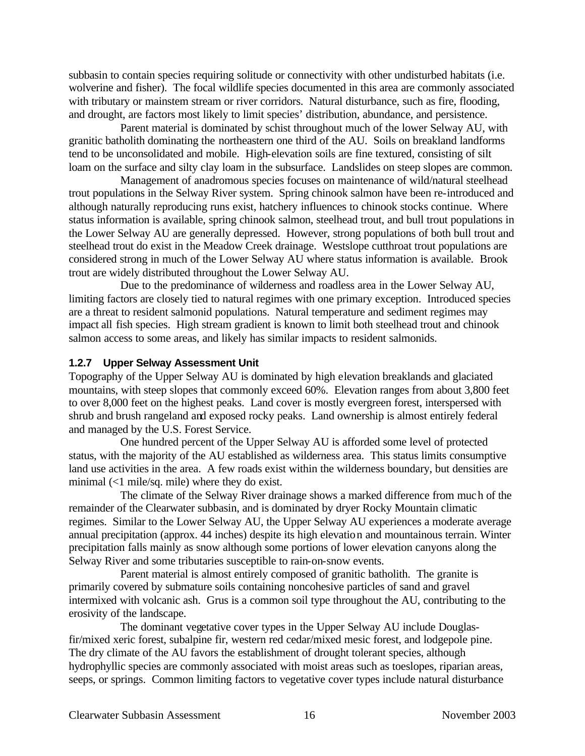subbasin to contain species requiring solitude or connectivity with other undisturbed habitats (i.e. wolverine and fisher). The focal wildlife species documented in this area are commonly associated with tributary or mainstem stream or river corridors. Natural disturbance, such as fire, flooding, and drought, are factors most likely to limit species' distribution, abundance, and persistence.

Parent material is dominated by schist throughout much of the lower Selway AU, with granitic batholith dominating the northeastern one third of the AU. Soils on breakland landforms tend to be unconsolidated and mobile. High-elevation soils are fine textured, consisting of silt loam on the surface and silty clay loam in the subsurface. Landslides on steep slopes are common.

Management of anadromous species focuses on maintenance of wild/natural steelhead trout populations in the Selway River system. Spring chinook salmon have been re-introduced and although naturally reproducing runs exist, hatchery influences to chinook stocks continue. Where status information is available, spring chinook salmon, steelhead trout, and bull trout populations in the Lower Selway AU are generally depressed. However, strong populations of both bull trout and steelhead trout do exist in the Meadow Creek drainage. Westslope cutthroat trout populations are considered strong in much of the Lower Selway AU where status information is available. Brook trout are widely distributed throughout the Lower Selway AU.

Due to the predominance of wilderness and roadless area in the Lower Selway AU, limiting factors are closely tied to natural regimes with one primary exception. Introduced species are a threat to resident salmonid populations. Natural temperature and sediment regimes may impact all fish species. High stream gradient is known to limit both steelhead trout and chinook salmon access to some areas, and likely has similar impacts to resident salmonids.

#### **1.2.7 Upper Selway Assessment Unit**

Topography of the Upper Selway AU is dominated by high elevation breaklands and glaciated mountains, with steep slopes that commonly exceed 60%. Elevation ranges from about 3,800 feet to over 8,000 feet on the highest peaks. Land cover is mostly evergreen forest, interspersed with shrub and brush rangeland and exposed rocky peaks. Land ownership is almost entirely federal and managed by the U.S. Forest Service.

One hundred percent of the Upper Selway AU is afforded some level of protected status, with the majority of the AU established as wilderness area. This status limits consumptive land use activities in the area. A few roads exist within the wilderness boundary, but densities are minimal (<1 mile/sq. mile) where they do exist.

The climate of the Selway River drainage shows a marked difference from much of the remainder of the Clearwater subbasin, and is dominated by dryer Rocky Mountain climatic regimes. Similar to the Lower Selway AU, the Upper Selway AU experiences a moderate average annual precipitation (approx. 44 inches) despite its high elevation and mountainous terrain. Winter precipitation falls mainly as snow although some portions of lower elevation canyons along the Selway River and some tributaries susceptible to rain-on-snow events.

Parent material is almost entirely composed of granitic batholith. The granite is primarily covered by submature soils containing noncohesive particles of sand and gravel intermixed with volcanic ash. Grus is a common soil type throughout the AU, contributing to the erosivity of the landscape.

The dominant vegetative cover types in the Upper Selway AU include Douglasfir/mixed xeric forest, subalpine fir, western red cedar/mixed mesic forest, and lodgepole pine. The dry climate of the AU favors the establishment of drought tolerant species, although hydrophyllic species are commonly associated with moist areas such as toeslopes, riparian areas, seeps, or springs. Common limiting factors to vegetative cover types include natural disturbance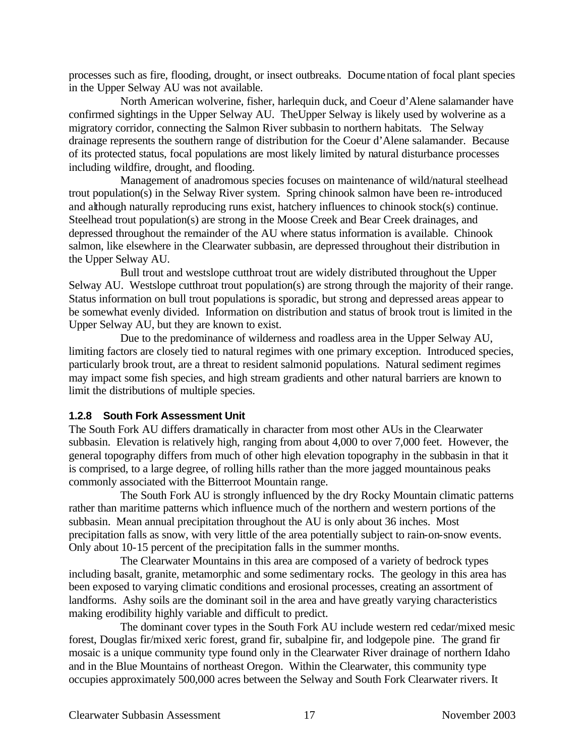processes such as fire, flooding, drought, or insect outbreaks. Documentation of focal plant species in the Upper Selway AU was not available.

North American wolverine, fisher, harlequin duck, and Coeur d'Alene salamander have confirmed sightings in the Upper Selway AU. TheUpper Selway is likely used by wolverine as a migratory corridor, connecting the Salmon River subbasin to northern habitats. The Selway drainage represents the southern range of distribution for the Coeur d'Alene salamander. Because of its protected status, focal populations are most likely limited by natural disturbance processes including wildfire, drought, and flooding.

Management of anadromous species focuses on maintenance of wild/natural steelhead trout population(s) in the Selway River system. Spring chinook salmon have been re-introduced and although naturally reproducing runs exist, hatchery influences to chinook stock(s) continue. Steelhead trout population(s) are strong in the Moose Creek and Bear Creek drainages, and depressed throughout the remainder of the AU where status information is available. Chinook salmon, like elsewhere in the Clearwater subbasin, are depressed throughout their distribution in the Upper Selway AU.

Bull trout and westslope cutthroat trout are widely distributed throughout the Upper Selway AU. Westslope cutthroat trout population(s) are strong through the majority of their range. Status information on bull trout populations is sporadic, but strong and depressed areas appear to be somewhat evenly divided. Information on distribution and status of brook trout is limited in the Upper Selway AU, but they are known to exist.

Due to the predominance of wilderness and roadless area in the Upper Selway AU, limiting factors are closely tied to natural regimes with one primary exception. Introduced species, particularly brook trout, are a threat to resident salmonid populations. Natural sediment regimes may impact some fish species, and high stream gradients and other natural barriers are known to limit the distributions of multiple species.

#### **1.2.8 South Fork Assessment Unit**

The South Fork AU differs dramatically in character from most other AUs in the Clearwater subbasin. Elevation is relatively high, ranging from about 4,000 to over 7,000 feet. However, the general topography differs from much of other high elevation topography in the subbasin in that it is comprised, to a large degree, of rolling hills rather than the more jagged mountainous peaks commonly associated with the Bitterroot Mountain range.

The South Fork AU is strongly influenced by the dry Rocky Mountain climatic patterns rather than maritime patterns which influence much of the northern and western portions of the subbasin. Mean annual precipitation throughout the AU is only about 36 inches. Most precipitation falls as snow, with very little of the area potentially subject to rain-on-snow events. Only about 10-15 percent of the precipitation falls in the summer months.

The Clearwater Mountains in this area are composed of a variety of bedrock types including basalt, granite, metamorphic and some sedimentary rocks. The geology in this area has been exposed to varying climatic conditions and erosional processes, creating an assortment of landforms. Ashy soils are the dominant soil in the area and have greatly varying characteristics making erodibility highly variable and difficult to predict.

The dominant cover types in the South Fork AU include western red cedar/mixed mesic forest, Douglas fir/mixed xeric forest, grand fir, subalpine fir, and lodgepole pine. The grand fir mosaic is a unique community type found only in the Clearwater River drainage of northern Idaho and in the Blue Mountains of northeast Oregon. Within the Clearwater, this community type occupies approximately 500,000 acres between the Selway and South Fork Clearwater rivers. It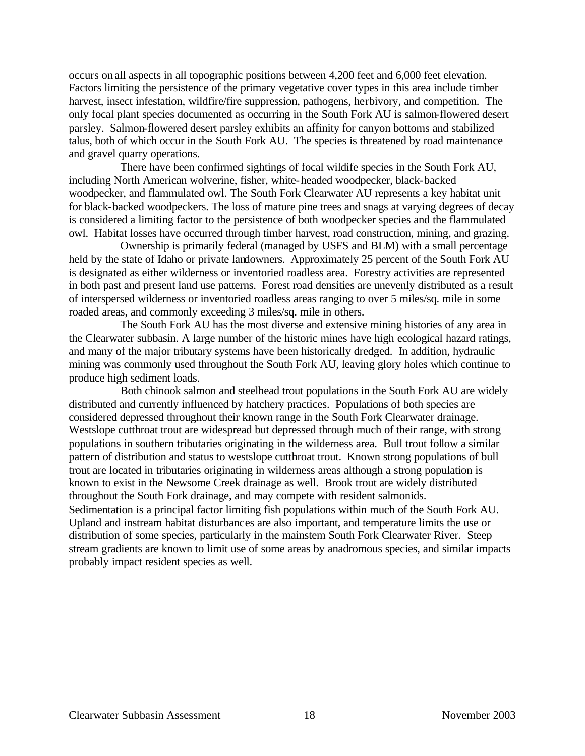occurs on all aspects in all topographic positions between 4,200 feet and 6,000 feet elevation. Factors limiting the persistence of the primary vegetative cover types in this area include timber harvest, insect infestation, wildfire/fire suppression, pathogens, herbivory, and competition. The only focal plant species documented as occurring in the South Fork AU is salmon-flowered desert parsley. Salmon-flowered desert parsley exhibits an affinity for canyon bottoms and stabilized talus, both of which occur in the South Fork AU. The species is threatened by road maintenance and gravel quarry operations.

There have been confirmed sightings of focal wildife species in the South Fork AU, including North American wolverine, fisher, white-headed woodpecker, black-backed woodpecker, and flammulated owl. The South Fork Clearwater AU represents a key habitat unit for black-backed woodpeckers. The loss of mature pine trees and snags at varying degrees of decay is considered a limiting factor to the persistence of both woodpecker species and the flammulated owl. Habitat losses have occurred through timber harvest, road construction, mining, and grazing.

Ownership is primarily federal (managed by USFS and BLM) with a small percentage held by the state of Idaho or private landowners. Approximately 25 percent of the South Fork AU is designated as either wilderness or inventoried roadless area. Forestry activities are represented in both past and present land use patterns. Forest road densities are unevenly distributed as a result of interspersed wilderness or inventoried roadless areas ranging to over 5 miles/sq. mile in some roaded areas, and commonly exceeding 3 miles/sq. mile in others.

The South Fork AU has the most diverse and extensive mining histories of any area in the Clearwater subbasin. A large number of the historic mines have high ecological hazard ratings, and many of the major tributary systems have been historically dredged. In addition, hydraulic mining was commonly used throughout the South Fork AU, leaving glory holes which continue to produce high sediment loads.

Both chinook salmon and steelhead trout populations in the South Fork AU are widely distributed and currently influenced by hatchery practices. Populations of both species are considered depressed throughout their known range in the South Fork Clearwater drainage. Westslope cutthroat trout are widespread but depressed through much of their range, with strong populations in southern tributaries originating in the wilderness area. Bull trout follow a similar pattern of distribution and status to westslope cutthroat trout. Known strong populations of bull trout are located in tributaries originating in wilderness areas although a strong population is known to exist in the Newsome Creek drainage as well. Brook trout are widely distributed throughout the South Fork drainage, and may compete with resident salmonids. Sedimentation is a principal factor limiting fish populations within much of the South Fork AU. Upland and instream habitat disturbances are also important, and temperature limits the use or distribution of some species, particularly in the mainstem South Fork Clearwater River. Steep stream gradients are known to limit use of some areas by anadromous species, and similar impacts probably impact resident species as well.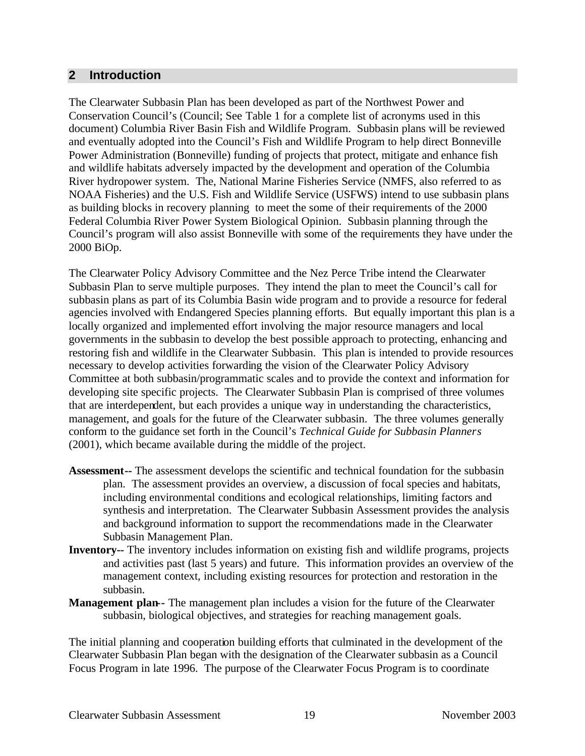## **2 Introduction**

The Clearwater Subbasin Plan has been developed as part of the Northwest Power and Conservation Council's (Council; See Table 1 for a complete list of acronyms used in this document) Columbia River Basin Fish and Wildlife Program. Subbasin plans will be reviewed and eventually adopted into the Council's Fish and Wildlife Program to help direct Bonneville Power Administration (Bonneville) funding of projects that protect, mitigate and enhance fish and wildlife habitats adversely impacted by the development and operation of the Columbia River hydropower system. The, National Marine Fisheries Service (NMFS, also referred to as NOAA Fisheries) and the U.S. Fish and Wildlife Service (USFWS) intend to use subbasin plans as building blocks in recovery planning to meet the some of their requirements of the 2000 Federal Columbia River Power System Biological Opinion. Subbasin planning through the Council's program will also assist Bonneville with some of the requirements they have under the 2000 BiOp.

The Clearwater Policy Advisory Committee and the Nez Perce Tribe intend the Clearwater Subbasin Plan to serve multiple purposes. They intend the plan to meet the Council's call for subbasin plans as part of its Columbia Basin wide program and to provide a resource for federal agencies involved with Endangered Species planning efforts. But equally important this plan is a locally organized and implemented effort involving the major resource managers and local governments in the subbasin to develop the best possible approach to protecting, enhancing and restoring fish and wildlife in the Clearwater Subbasin. This plan is intended to provide resources necessary to develop activities forwarding the vision of the Clearwater Policy Advisory Committee at both subbasin/programmatic scales and to provide the context and information for developing site specific projects. The Clearwater Subbasin Plan is comprised of three volumes that are interdependent, but each provides a unique way in understanding the characteristics, management, and goals for the future of the Clearwater subbasin. The three volumes generally conform to the guidance set forth in the Council's *Technical Guide for Subbasin Planners* (2001), which became available during the middle of the project.

- **Assessment--** The assessment develops the scientific and technical foundation for the subbasin plan. The assessment provides an overview, a discussion of focal species and habitats, including environmental conditions and ecological relationships, limiting factors and synthesis and interpretation. The Clearwater Subbasin Assessment provides the analysis and background information to support the recommendations made in the Clearwater Subbasin Management Plan.
- **Inventory--** The inventory includes information on existing fish and wildlife programs, projects and activities past (last 5 years) and future. This information provides an overview of the management context, including existing resources for protection and restoration in the subbasin.
- **Management plan--** The management plan includes a vision for the future of the Clearwater subbasin, biological objectives, and strategies for reaching management goals.

The initial planning and cooperation building efforts that culminated in the development of the Clearwater Subbasin Plan began with the designation of the Clearwater subbasin as a Council Focus Program in late 1996. The purpose of the Clearwater Focus Program is to coordinate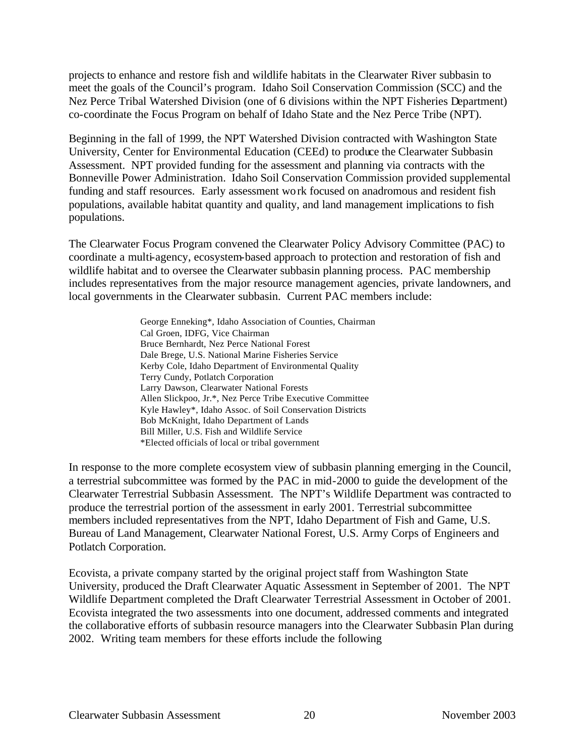projects to enhance and restore fish and wildlife habitats in the Clearwater River subbasin to meet the goals of the Council's program. Idaho Soil Conservation Commission (SCC) and the Nez Perce Tribal Watershed Division (one of 6 divisions within the NPT Fisheries Department) co-coordinate the Focus Program on behalf of Idaho State and the Nez Perce Tribe (NPT).

Beginning in the fall of 1999, the NPT Watershed Division contracted with Washington State University, Center for Environmental Education (CEEd) to produce the Clearwater Subbasin Assessment. NPT provided funding for the assessment and planning via contracts with the Bonneville Power Administration. Idaho Soil Conservation Commission provided supplemental funding and staff resources. Early assessment work focused on anadromous and resident fish populations, available habitat quantity and quality, and land management implications to fish populations.

The Clearwater Focus Program convened the Clearwater Policy Advisory Committee (PAC) to coordinate a multi-agency, ecosystem-based approach to protection and restoration of fish and wildlife habitat and to oversee the Clearwater subbasin planning process. PAC membership includes representatives from the major resource management agencies, private landowners, and local governments in the Clearwater subbasin. Current PAC members include:

> George Enneking\*, Idaho Association of Counties, Chairman Cal Groen, IDFG, Vice Chairman Bruce Bernhardt, Nez Perce National Forest Dale Brege, U.S. National Marine Fisheries Service Kerby Cole, Idaho Department of Environmental Quality Terry Cundy, Potlatch Corporation Larry Dawson, Clearwater National Forests Allen Slickpoo, Jr.\*, Nez Perce Tribe Executive Committee Kyle Hawley\*, Idaho Assoc. of Soil Conservation Districts Bob McKnight, Idaho Department of Lands Bill Miller, U.S. Fish and Wildlife Service \*Elected officials of local or tribal government

In response to the more complete ecosystem view of subbasin planning emerging in the Council, a terrestrial subcommittee was formed by the PAC in mid-2000 to guide the development of the Clearwater Terrestrial Subbasin Assessment. The NPT's Wildlife Department was contracted to produce the terrestrial portion of the assessment in early 2001. Terrestrial subcommittee members included representatives from the NPT, Idaho Department of Fish and Game, U.S. Bureau of Land Management, Clearwater National Forest, U.S. Army Corps of Engineers and Potlatch Corporation.

Ecovista, a private company started by the original project staff from Washington State University, produced the Draft Clearwater Aquatic Assessment in September of 2001. The NPT Wildlife Department completed the Draft Clearwater Terrestrial Assessment in October of 2001. Ecovista integrated the two assessments into one document, addressed comments and integrated the collaborative efforts of subbasin resource managers into the Clearwater Subbasin Plan during 2002. Writing team members for these efforts include the following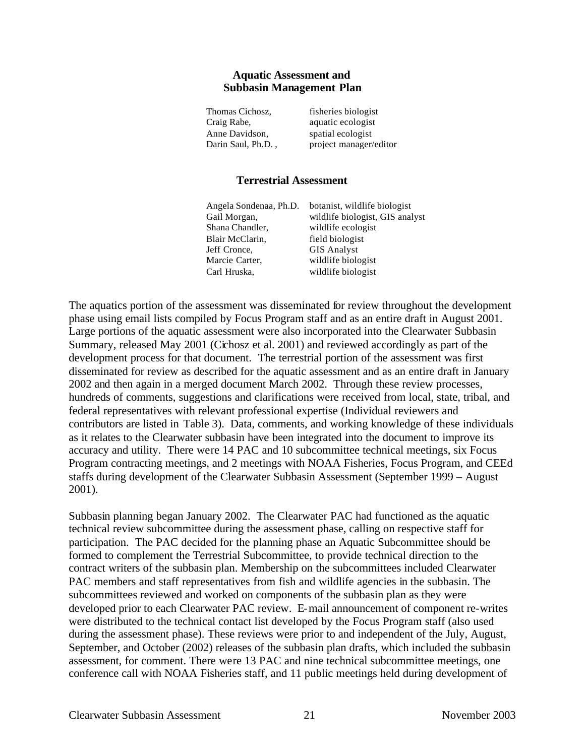#### **Aquatic Assessment and Subbasin Management Plan**

| fisheries biologist    |
|------------------------|
| aquatic ecologist      |
| spatial ecologist      |
| project manager/editor |
|                        |

#### **Terrestrial Assessment**

| Angela Sondenaa, Ph.D. | botanist, wildlife biologist    |
|------------------------|---------------------------------|
| Gail Morgan,           | wildlife biologist, GIS analyst |
| Shana Chandler,        | wildlife ecologist              |
| Blair McClarin,        | field biologist                 |
| Jeff Cronce,           | <b>GIS Analyst</b>              |
| Marcie Carter,         | wildlife biologist              |
| Carl Hruska,           | wildlife biologist              |

The aquatics portion of the assessment was disseminated for review throughout the development phase using email lists compiled by Focus Program staff and as an entire draft in August 2001. Large portions of the aquatic assessment were also incorporated into the Clearwater Subbasin Summary, released May 2001 (Cichosz et al. 2001) and reviewed accordingly as part of the development process for that document. The terrestrial portion of the assessment was first disseminated for review as described for the aquatic assessment and as an entire draft in January 2002 and then again in a merged document March 2002. Through these review processes, hundreds of comments, suggestions and clarifications were received from local, state, tribal, and federal representatives with relevant professional expertise (Individual reviewers and contributors are listed in Table 3). Data, comments, and working knowledge of these individuals as it relates to the Clearwater subbasin have been integrated into the document to improve its accuracy and utility. There were 14 PAC and 10 subcommittee technical meetings, six Focus Program contracting meetings, and 2 meetings with NOAA Fisheries, Focus Program, and CEEd staffs during development of the Clearwater Subbasin Assessment (September 1999 – August 2001).

Subbasin planning began January 2002. The Clearwater PAC had functioned as the aquatic technical review subcommittee during the assessment phase, calling on respective staff for participation. The PAC decided for the planning phase an Aquatic Subcommittee should be formed to complement the Terrestrial Subcommittee, to provide technical direction to the contract writers of the subbasin plan. Membership on the subcommittees included Clearwater PAC members and staff representatives from fish and wildlife agencies in the subbasin. The subcommittees reviewed and worked on components of the subbasin plan as they were developed prior to each Clearwater PAC review. E-mail announcement of component re-writes were distributed to the technical contact list developed by the Focus Program staff (also used during the assessment phase). These reviews were prior to and independent of the July, August, September, and October (2002) releases of the subbasin plan drafts, which included the subbasin assessment, for comment. There were 13 PAC and nine technical subcommittee meetings, one conference call with NOAA Fisheries staff, and 11 public meetings held during development of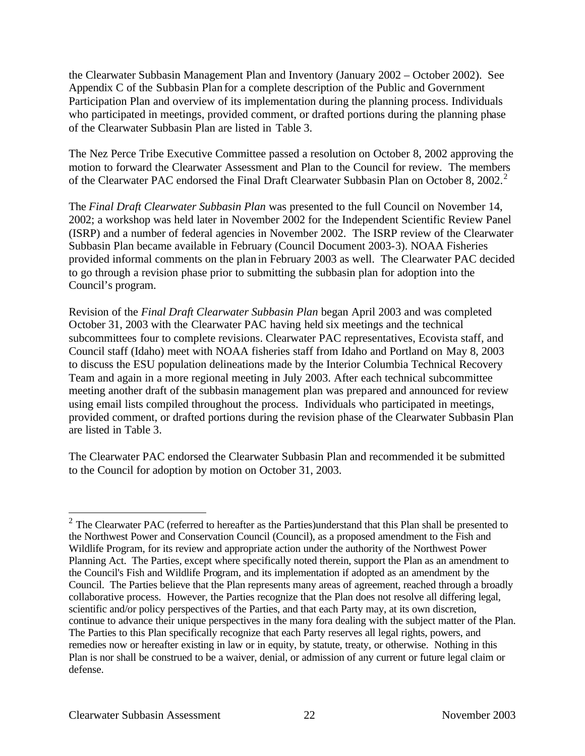the Clearwater Subbasin Management Plan and Inventory (January 2002 – October 2002). See Appendix C of the Subbasin Plan for a complete description of the Public and Government Participation Plan and overview of its implementation during the planning process. Individuals who participated in meetings, provided comment, or drafted portions during the planning phase of the Clearwater Subbasin Plan are listed in Table 3.

The Nez Perce Tribe Executive Committee passed a resolution on October 8, 2002 approving the motion to forward the Clearwater Assessment and Plan to the Council for review. The members of the Clearwater PAC endorsed the Final Draft Clearwater Subbasin Plan on October 8, 2002.<sup>2</sup>

The *Final Draft Clearwater Subbasin Plan* was presented to the full Council on November 14, 2002; a workshop was held later in November 2002 for the Independent Scientific Review Panel (ISRP) and a number of federal agencies in November 2002. The ISRP review of the Clearwater Subbasin Plan became available in February (Council Document 2003-3). NOAA Fisheries provided informal comments on the plan in February 2003 as well. The Clearwater PAC decided to go through a revision phase prior to submitting the subbasin plan for adoption into the Council's program.

Revision of the *Final Draft Clearwater Subbasin Plan* began April 2003 and was completed October 31, 2003 with the Clearwater PAC having held six meetings and the technical subcommittees four to complete revisions. Clearwater PAC representatives, Ecovista staff, and Council staff (Idaho) meet with NOAA fisheries staff from Idaho and Portland on May 8, 2003 to discuss the ESU population delineations made by the Interior Columbia Technical Recovery Team and again in a more regional meeting in July 2003. After each technical subcommittee meeting another draft of the subbasin management plan was prepared and announced for review using email lists compiled throughout the process. Individuals who participated in meetings, provided comment, or drafted portions during the revision phase of the Clearwater Subbasin Plan are listed in Table 3.

The Clearwater PAC endorsed the Clearwater Subbasin Plan and recommended it be submitted to the Council for adoption by motion on October 31, 2003.

 $\overline{a}$ 

<sup>&</sup>lt;sup>2</sup> The Clearwater PAC (referred to hereafter as the Parties) understand that this Plan shall be presented to the Northwest Power and Conservation Council (Council), as a proposed amendment to the Fish and Wildlife Program, for its review and appropriate action under the authority of the Northwest Power Planning Act. The Parties, except where specifically noted therein, support the Plan as an amendment to the Council's Fish and Wildlife Program, and its implementation if adopted as an amendment by the Council. The Parties believe that the Plan represents many areas of agreement, reached through a broadly collaborative process. However, the Parties recognize that the Plan does not resolve all differing legal, scientific and/or policy perspectives of the Parties, and that each Party may, at its own discretion, continue to advance their unique perspectives in the many fora dealing with the subject matter of the Plan. The Parties to this Plan specifically recognize that each Party reserves all legal rights, powers, and remedies now or hereafter existing in law or in equity, by statute, treaty, or otherwise. Nothing in this Plan is nor shall be construed to be a waiver, denial, or admission of any current or future legal claim or defense.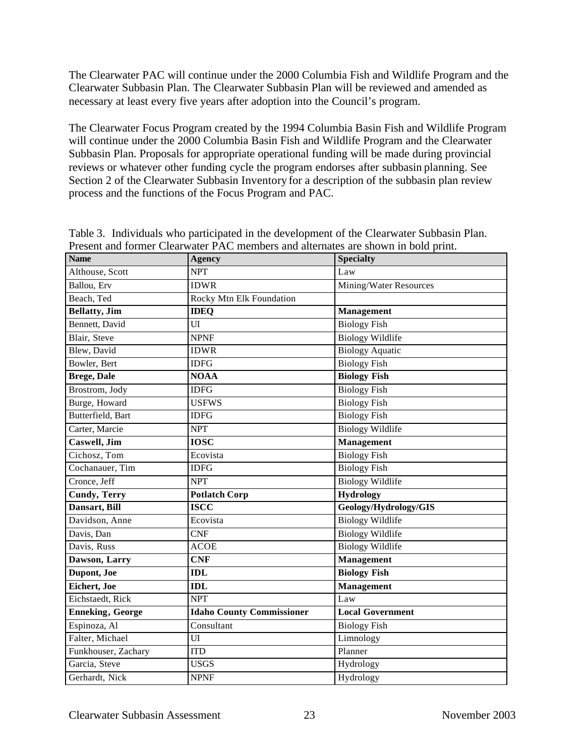The Clearwater PAC will continue under the 2000 Columbia Fish and Wildlife Program and the Clearwater Subbasin Plan. The Clearwater Subbasin Plan will be reviewed and amended as necessary at least every five years after adoption into the Council's program.

The Clearwater Focus Program created by the 1994 Columbia Basin Fish and Wildlife Program will continue under the 2000 Columbia Basin Fish and Wildlife Program and the Clearwater Subbasin Plan. Proposals for appropriate operational funding will be made during provincial reviews or whatever other funding cycle the program endorses after subbasin planning. See Section 2 of the Clearwater Subbasin Inventory for a description of the subbasin plan review process and the functions of the Focus Program and PAC.

| <b>Name</b>             | <b>Agency</b>                    | <b>Specialty</b>        |  |
|-------------------------|----------------------------------|-------------------------|--|
| Althouse, Scott         | <b>NPT</b>                       | Law                     |  |
| Ballou, Erv             | <b>IDWR</b>                      | Mining/Water Resources  |  |
| Beach, Ted              | Rocky Mtn Elk Foundation         |                         |  |
| <b>Bellatty</b> , Jim   | <b>IDEQ</b>                      | <b>Management</b>       |  |
| Bennett, David          | UI                               | <b>Biology Fish</b>     |  |
| Blair, Steve            | <b>NPNF</b>                      | <b>Biology Wildlife</b> |  |
| Blew, David             | <b>IDWR</b>                      | <b>Biology Aquatic</b>  |  |
| Bowler, Bert            | <b>IDFG</b>                      | <b>Biology Fish</b>     |  |
| <b>Brege, Dale</b>      | <b>NOAA</b>                      | <b>Biology Fish</b>     |  |
| Brostrom, Jody          | <b>IDFG</b>                      | <b>Biology Fish</b>     |  |
| Burge, Howard           | <b>USFWS</b>                     | <b>Biology Fish</b>     |  |
| Butterfield, Bart       | <b>IDFG</b>                      | <b>Biology Fish</b>     |  |
| Carter, Marcie          | <b>NPT</b>                       | <b>Biology Wildlife</b> |  |
| Caswell, Jim            | <b>IOSC</b>                      | <b>Management</b>       |  |
| Cichosz, Tom            | Ecovista                         | <b>Biology Fish</b>     |  |
| Cochanauer, Tim         | <b>IDFG</b>                      | <b>Biology Fish</b>     |  |
| Cronce, Jeff            | <b>NPT</b>                       | <b>Biology Wildlife</b> |  |
| <b>Cundy, Terry</b>     | <b>Potlatch Corp</b>             | <b>Hydrology</b>        |  |
| Dansart, Bill           | <b>ISCC</b>                      | Geology/Hydrology/GIS   |  |
| Davidson, Anne          | Ecovista                         | <b>Biology Wildlife</b> |  |
| Davis, Dan              | <b>CNF</b>                       | <b>Biology Wildlife</b> |  |
| Davis, Russ             | <b>ACOE</b>                      | <b>Biology Wildlife</b> |  |
| Dawson, Larry           | <b>CNF</b>                       | <b>Management</b>       |  |
| Dupont, Joe             | <b>IDL</b>                       | <b>Biology Fish</b>     |  |
| Eichert, Joe            | <b>IDL</b>                       | <b>Management</b>       |  |
| Eichstaedt, Rick        | <b>NPT</b>                       | Law                     |  |
| <b>Enneking, George</b> | <b>Idaho County Commissioner</b> | <b>Local Government</b> |  |
| Espinoza, Al            | Consultant                       | <b>Biology Fish</b>     |  |
| Falter, Michael         | UI                               | Limnology               |  |
| Funkhouser, Zachary     | Planner<br><b>ITD</b>            |                         |  |
| Garcia, Steve           | <b>USGS</b>                      | Hydrology               |  |
| Gerhardt, Nick          | <b>NPNF</b>                      | Hydrology               |  |

Table 3. Individuals who participated in the development of the Clearwater Subbasin Plan. Present and former Clearwater PAC members and alternates are shown in bold print.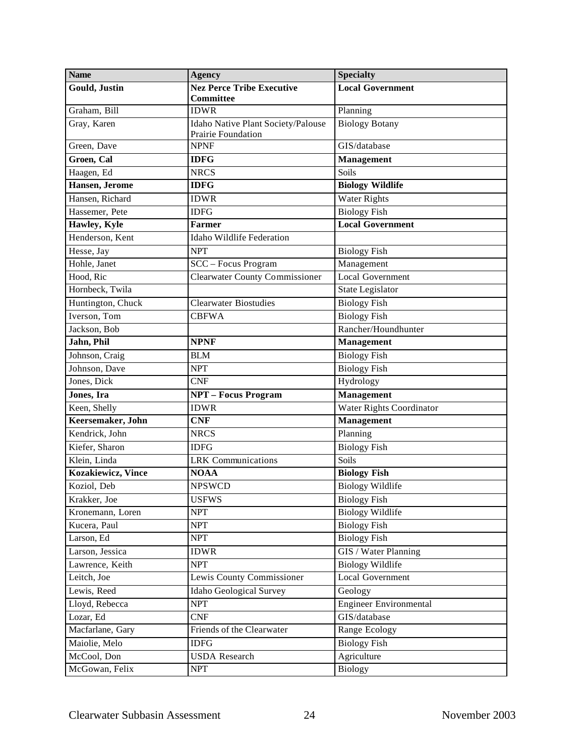| <b>Name</b>                | <b>Agency</b>                                                   | <b>Specialty</b>              |
|----------------------------|-----------------------------------------------------------------|-------------------------------|
| Gould, Justin              | <b>Nez Perce Tribe Executive</b><br><b>Committee</b>            | <b>Local Government</b>       |
| Graham, Bill               | <b>IDWR</b>                                                     | Planning                      |
| Gray, Karen                | Idaho Native Plant Society/Palouse<br><b>Prairie Foundation</b> | <b>Biology Botany</b>         |
| Green, Dave                | <b>NPNF</b>                                                     | GIS/database                  |
| Groen, Cal                 | <b>IDFG</b>                                                     | Management                    |
| Haagen, Ed                 | <b>NRCS</b>                                                     | Soils                         |
| Hansen, Jerome             | <b>IDFG</b>                                                     | <b>Biology Wildlife</b>       |
| Hansen, Richard            | <b>IDWR</b>                                                     | <b>Water Rights</b>           |
| Hassemer, Pete             | <b>IDFG</b>                                                     | <b>Biology Fish</b>           |
| Hawley, Kyle               | <b>Farmer</b>                                                   | <b>Local Government</b>       |
| Henderson, Kent            | Idaho Wildlife Federation                                       |                               |
| Hesse, Jay                 | <b>NPT</b>                                                      | <b>Biology Fish</b>           |
| Hohle, Janet               | SCC - Focus Program                                             | Management                    |
| Hood, Ric                  | <b>Clearwater County Commissioner</b>                           | <b>Local Government</b>       |
| Hornbeck, Twila            |                                                                 | State Legislator              |
| Huntington, Chuck          | <b>Clearwater Biostudies</b>                                    | <b>Biology Fish</b>           |
| Iverson, Tom               | <b>CBFWA</b>                                                    | <b>Biology Fish</b>           |
| Jackson, Bob               |                                                                 | Rancher/Houndhunter           |
| Jahn, Phil                 | <b>NPNF</b>                                                     | <b>Management</b>             |
| Johnson, Craig             | <b>BLM</b>                                                      | <b>Biology Fish</b>           |
| Johnson, Dave              | <b>NPT</b>                                                      | <b>Biology Fish</b>           |
| Jones, Dick                | <b>CNF</b>                                                      | Hydrology                     |
| Jones, Ira                 | <b>NPT - Focus Program</b>                                      | Management                    |
| Keen, Shelly               | <b>IDWR</b>                                                     | Water Rights Coordinator      |
| Keersemaker, John          | <b>CNF</b>                                                      | <b>Management</b>             |
| Kendrick, John             | <b>NRCS</b>                                                     | Planning                      |
| Kiefer, Sharon             | <b>IDFG</b>                                                     | <b>Biology Fish</b>           |
| Klein, Linda               | <b>LRK</b> Communications                                       | Soils                         |
| <b>Kozakiewicz</b> , Vince | <b>NOAA</b>                                                     | <b>Biology Fish</b>           |
| Koziol, Deb                | <b>NPSWCD</b>                                                   | <b>Biology Wildlife</b>       |
| Krakker, Joe               | USFWS                                                           | <b>Biology Fish</b>           |
| Kronemann, Loren           | <b>NPT</b>                                                      | <b>Biology Wildlife</b>       |
| Kucera, Paul               | <b>NPT</b>                                                      | <b>Biology Fish</b>           |
| Larson, Ed                 | <b>NPT</b>                                                      | <b>Biology Fish</b>           |
| Larson, Jessica            | <b>IDWR</b>                                                     | GIS / Water Planning          |
| Lawrence, Keith            | <b>NPT</b>                                                      | <b>Biology Wildlife</b>       |
| Leitch, Joe                | Lewis County Commissioner                                       | <b>Local Government</b>       |
| Lewis, Reed                | <b>Idaho Geological Survey</b>                                  | Geology                       |
| Lloyd, Rebecca             | <b>NPT</b>                                                      | <b>Engineer Environmental</b> |
| Lozar, Ed                  | <b>CNF</b>                                                      | GIS/database                  |
| Macfarlane, Gary           | Friends of the Clearwater                                       | Range Ecology                 |
| Maiolie, Melo              | <b>IDFG</b>                                                     | <b>Biology Fish</b>           |
| McCool, Don                | <b>USDA</b> Research                                            | Agriculture                   |
| McGowan, Felix             | <b>NPT</b>                                                      | <b>Biology</b>                |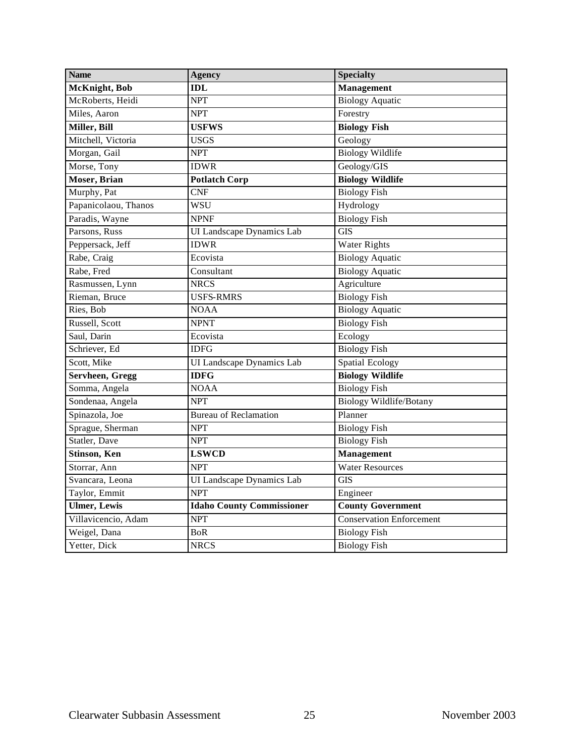| <b>Name</b>          | <b>Agency</b>                    | <b>Specialty</b>                |  |
|----------------------|----------------------------------|---------------------------------|--|
| McKnight, Bob        | IDL                              | <b>Management</b>               |  |
| McRoberts, Heidi     | <b>NPT</b>                       | <b>Biology Aquatic</b>          |  |
| Miles, Aaron         | <b>NPT</b>                       | Forestry                        |  |
| Miller, Bill         | <b>USFWS</b>                     | <b>Biology Fish</b>             |  |
| Mitchell, Victoria   | USGS                             | Geology                         |  |
| Morgan, Gail         | <b>NPT</b>                       | <b>Biology Wildlife</b>         |  |
| Morse, Tony          | <b>IDWR</b>                      | Geology/GIS                     |  |
| <b>Moser</b> , Brian | <b>Potlatch Corp</b>             | <b>Biology Wildlife</b>         |  |
| Murphy, Pat          | CNF                              | <b>Biology Fish</b>             |  |
| Papanicolaou, Thanos | <b>WSU</b>                       | Hydrology                       |  |
| Paradis, Wayne       | <b>NPNF</b>                      | <b>Biology Fish</b>             |  |
| Parsons, Russ        | UI Landscape Dynamics Lab        | <b>GIS</b>                      |  |
| Peppersack, Jeff     | <b>IDWR</b>                      | Water Rights                    |  |
| Rabe, Craig          | Ecovista                         | <b>Biology Aquatic</b>          |  |
| Rabe, Fred           | Consultant                       | <b>Biology</b> Aquatic          |  |
| Rasmussen, Lynn      | <b>NRCS</b>                      | Agriculture                     |  |
| Rieman, Bruce        | <b>USFS-RMRS</b>                 | <b>Biology Fish</b>             |  |
| Ries, Bob            | <b>NOAA</b>                      | <b>Biology Aquatic</b>          |  |
| Russell, Scott       | <b>NPNT</b>                      | <b>Biology Fish</b>             |  |
| Saul, Darin          | Ecovista                         | Ecology                         |  |
| Schriever, Ed        | <b>IDFG</b>                      | <b>Biology Fish</b>             |  |
| Scott, Mike          | UI Landscape Dynamics Lab        | <b>Spatial Ecology</b>          |  |
| Servheen, Gregg      | <b>IDFG</b>                      | <b>Biology Wildlife</b>         |  |
| Somma, Angela        | <b>NOAA</b>                      | <b>Biology Fish</b>             |  |
| Sondenaa, Angela     | <b>NPT</b>                       | Biology Wildlife/Botany         |  |
| Spinazola, Joe       | <b>Bureau of Reclamation</b>     | Planner                         |  |
| Sprague, Sherman     | <b>NPT</b>                       | <b>Biology Fish</b>             |  |
| Statler, Dave        | <b>NPT</b>                       | <b>Biology Fish</b>             |  |
| Stinson, Ken         | <b>LSWCD</b>                     | <b>Management</b>               |  |
| Storrar, Ann         | <b>NPT</b>                       | <b>Water Resources</b>          |  |
| Svancara, Leona      | UI Landscape Dynamics Lab        | <b>GIS</b>                      |  |
| Taylor, Emmit        | <b>NPT</b>                       | Engineer                        |  |
| <b>Ulmer</b> , Lewis | <b>Idaho County Commissioner</b> | <b>County Government</b>        |  |
| Villavicencio, Adam  | <b>NPT</b>                       | <b>Conservation Enforcement</b> |  |
| Weigel, Dana         | BoR                              | <b>Biology Fish</b>             |  |
| Yetter, Dick         | <b>NRCS</b>                      | <b>Biology Fish</b>             |  |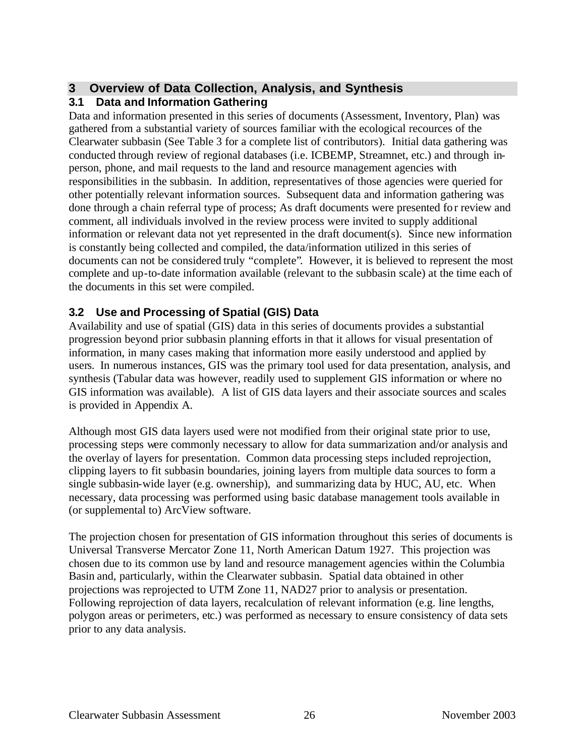## **3 Overview of Data Collection, Analysis, and Synthesis**

## **3.1 Data and Information Gathering**

Data and information presented in this series of documents (Assessment, Inventory, Plan) was gathered from a substantial variety of sources familiar with the ecological recources of the Clearwater subbasin (See Table 3 for a complete list of contributors). Initial data gathering was conducted through review of regional databases (i.e. ICBEMP, Streamnet, etc.) and through inperson, phone, and mail requests to the land and resource management agencies with responsibilities in the subbasin. In addition, representatives of those agencies were queried for other potentially relevant information sources. Subsequent data and information gathering was done through a chain referral type of process; As draft documents were presented for review and comment, all individuals involved in the review process were invited to supply additional information or relevant data not yet represented in the draft document(s). Since new information is constantly being collected and compiled, the data/information utilized in this series of documents can not be considered truly "complete". However, it is believed to represent the most complete and up-to-date information available (relevant to the subbasin scale) at the time each of the documents in this set were compiled.

## **3.2 Use and Processing of Spatial (GIS) Data**

Availability and use of spatial (GIS) data in this series of documents provides a substantial progression beyond prior subbasin planning efforts in that it allows for visual presentation of information, in many cases making that information more easily understood and applied by users. In numerous instances, GIS was the primary tool used for data presentation, analysis, and synthesis (Tabular data was however, readily used to supplement GIS information or where no GIS information was available). A list of GIS data layers and their associate sources and scales is provided in Appendix A.

Although most GIS data layers used were not modified from their original state prior to use, processing steps were commonly necessary to allow for data summarization and/or analysis and the overlay of layers for presentation. Common data processing steps included reprojection, clipping layers to fit subbasin boundaries, joining layers from multiple data sources to form a single subbasin-wide layer (e.g. ownership), and summarizing data by HUC, AU, etc. When necessary, data processing was performed using basic database management tools available in (or supplemental to) ArcView software.

The projection chosen for presentation of GIS information throughout this series of documents is Universal Transverse Mercator Zone 11, North American Datum 1927. This projection was chosen due to its common use by land and resource management agencies within the Columbia Basin and, particularly, within the Clearwater subbasin. Spatial data obtained in other projections was reprojected to UTM Zone 11, NAD27 prior to analysis or presentation. Following reprojection of data layers, recalculation of relevant information (e.g. line lengths, polygon areas or perimeters, etc.) was performed as necessary to ensure consistency of data sets prior to any data analysis.